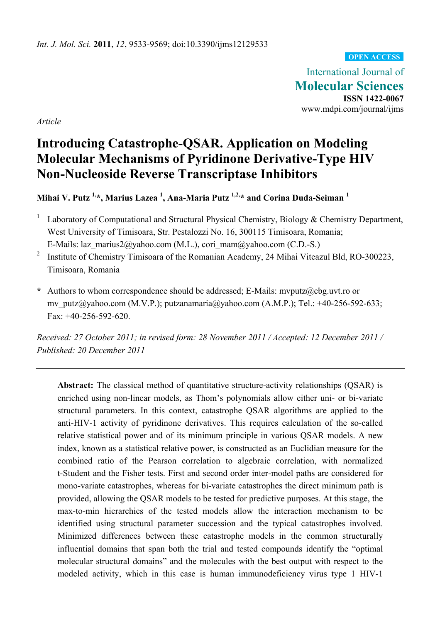### **OPEN ACCESS**

International Journal of **Molecular Sciences ISSN 1422-0067**  www.mdpi.com/journal/ijms

*Article* 

# **Introducing Catastrophe-QSAR. Application on Modeling Molecular Mechanisms of Pyridinone Derivative-Type HIV Non-Nucleoside Reverse Transcriptase Inhibitors**

**Mihai V. Putz 1,\*, Marius Lazea 1 , Ana-Maria Putz 1,2,\* and Corina Duda-Seiman 1**

- 1 Laboratory of Computational and Structural Physical Chemistry, Biology & Chemistry Department, West University of Timisoara, Str. Pestalozzi No. 16, 300115 Timisoara, Romania; E-Mails: laz\_marius2@yahoo.com (M.L.), cori\_mam@yahoo.com (C.D.-S.)
- 2 Institute of Chemistry Timisoara of the Romanian Academy, 24 Mihai Viteazul Bld, RO-300223, Timisoara, Romania
- **\*** Authors to whom correspondence should be addressed; E-Mails: mvputz@cbg.uvt.ro or mv\_putz@yahoo.com (M.V.P.); putzanamaria@yahoo.com (A.M.P.); Tel.: +40-256-592-633; Fax: +40-256-592-620.

*Received: 27 October 2011; in revised form: 28 November 2011 / Accepted: 12 December 2011 / Published: 20 December 2011* 

**Abstract:** The classical method of quantitative structure-activity relationships (QSAR) is enriched using non-linear models, as Thom's polynomials allow either uni- or bi-variate structural parameters. In this context, catastrophe QSAR algorithms are applied to the anti-HIV-1 activity of pyridinone derivatives. This requires calculation of the so-called relative statistical power and of its minimum principle in various QSAR models. A new index, known as a statistical relative power, is constructed as an Euclidian measure for the combined ratio of the Pearson correlation to algebraic correlation, with normalized t-Student and the Fisher tests. First and second order inter-model paths are considered for mono-variate catastrophes, whereas for bi-variate catastrophes the direct minimum path is provided, allowing the QSAR models to be tested for predictive purposes. At this stage, the max-to-min hierarchies of the tested models allow the interaction mechanism to be identified using structural parameter succession and the typical catastrophes involved. Minimized differences between these catastrophe models in the common structurally influential domains that span both the trial and tested compounds identify the "optimal molecular structural domains" and the molecules with the best output with respect to the modeled activity, which in this case is human immunodeficiency virus type 1 HIV-1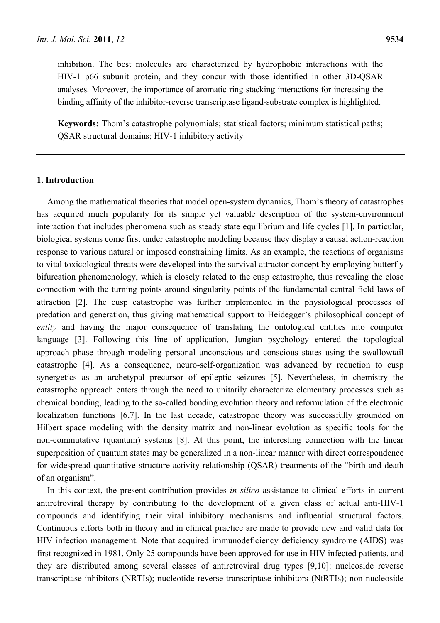inhibition. The best molecules are characterized by hydrophobic interactions with the HIV-1 p66 subunit protein, and they concur with those identified in other 3D-QSAR analyses. Moreover, the importance of aromatic ring stacking interactions for increasing the binding affinity of the inhibitor-reverse transcriptase ligand-substrate complex is highlighted.

**Keywords:** Thom's catastrophe polynomials; statistical factors; minimum statistical paths; QSAR structural domains; HIV-1 inhibitory activity

# **1. Introduction**

Among the mathematical theories that model open-system dynamics, Thom's theory of catastrophes has acquired much popularity for its simple yet valuable description of the system-environment interaction that includes phenomena such as steady state equilibrium and life cycles [1]. In particular, biological systems come first under catastrophe modeling because they display a causal action-reaction response to various natural or imposed constraining limits. As an example, the reactions of organisms to vital toxicological threats were developed into the survival attractor concept by employing butterfly bifurcation phenomenology, which is closely related to the cusp catastrophe, thus revealing the close connection with the turning points around singularity points of the fundamental central field laws of attraction [2]. The cusp catastrophe was further implemented in the physiological processes of predation and generation, thus giving mathematical support to Heidegger's philosophical concept of *entity* and having the major consequence of translating the ontological entities into computer language [3]. Following this line of application, Jungian psychology entered the topological approach phase through modeling personal unconscious and conscious states using the swallowtail catastrophe [4]. As a consequence, neuro-self-organization was advanced by reduction to cusp synergetics as an archetypal precursor of epileptic seizures [5]. Nevertheless, in chemistry the catastrophe approach enters through the need to unitarily characterize elementary processes such as chemical bonding, leading to the so-called bonding evolution theory and reformulation of the electronic localization functions [6,7]. In the last decade, catastrophe theory was successfully grounded on Hilbert space modeling with the density matrix and non-linear evolution as specific tools for the non-commutative (quantum) systems [8]. At this point, the interesting connection with the linear superposition of quantum states may be generalized in a non-linear manner with direct correspondence for widespread quantitative structure-activity relationship (QSAR) treatments of the "birth and death of an organism".

In this context, the present contribution provides *in silico* assistance to clinical efforts in current antiretroviral therapy by contributing to the development of a given class of actual anti-HIV-1 compounds and identifying their viral inhibitory mechanisms and influential structural factors. Continuous efforts both in theory and in clinical practice are made to provide new and valid data for HIV infection management. Note that acquired immunodeficiency deficiency syndrome (AIDS) was first recognized in 1981. Only 25 compounds have been approved for use in HIV infected patients, and they are distributed among several classes of antiretroviral drug types [9,10]: nucleoside reverse transcriptase inhibitors (NRTIs); nucleotide reverse transcriptase inhibitors (NtRTIs); non-nucleoside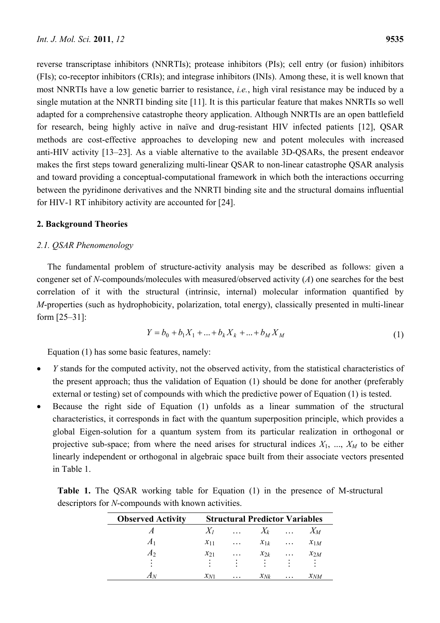reverse transcriptase inhibitors (NNRTIs); protease inhibitors (PIs); cell entry (or fusion) inhibitors (FIs); co-receptor inhibitors (CRIs); and integrase inhibitors (INIs). Among these, it is well known that most NNRTIs have a low genetic barrier to resistance, *i.e.*, high viral resistance may be induced by a single mutation at the NNRTI binding site [11]. It is this particular feature that makes NNRTIs so well adapted for a comprehensive catastrophe theory application. Although NNRTIs are an open battlefield for research, being highly active in naïve and drug-resistant HIV infected patients [12], QSAR methods are cost-effective approaches to developing new and potent molecules with increased anti-HIV activity [13–23]. As a viable alternative to the available 3D-QSARs, the present endeavor makes the first steps toward generalizing multi-linear QSAR to non-linear catastrophe QSAR analysis and toward providing a conceptual-computational framework in which both the interactions occurring between the pyridinone derivatives and the NNRTI binding site and the structural domains influential for HIV-1 RT inhibitory activity are accounted for [24].

# **2. Background Theories**

# *2.1. QSAR Phenomenology*

The fundamental problem of structure-activity analysis may be described as follows: given a congener set of *N*-compounds/molecules with measured/observed activity (*A*) one searches for the best correlation of it with the structural (intrinsic, internal) molecular information quantified by *M*-properties (such as hydrophobicity, polarization, total energy), classically presented in multi-linear form [25–31]:

$$
Y = b_0 + b_1 X_1 + \dots + b_k X_k + \dots + b_M X_M
$$
\n<sup>(1)</sup>

Equation (1) has some basic features, namely:

- *Y* stands for the computed activity, not the observed activity, from the statistical characteristics of the present approach; thus the validation of Equation (1) should be done for another (preferably external or testing) set of compounds with which the predictive power of Equation (1) is tested.
- Because the right side of Equation (1) unfolds as a linear summation of the structural characteristics, it corresponds in fact with the quantum superposition principle, which provides a global Eigen-solution for a quantum system from its particular realization in orthogonal or projective sub-space; from where the need arises for structural indices  $X_1$ , ...,  $X_M$  to be either linearly independent or orthogonal in algebraic space built from their associate vectors presented in Table 1.

|                                                    |  |  |  |  |  |  |  |  |  |  | <b>Table 1.</b> The QSAR working table for Equation (1) in the presence of M-structural |
|----------------------------------------------------|--|--|--|--|--|--|--|--|--|--|-----------------------------------------------------------------------------------------|
| descriptors for N-compounds with known activities. |  |  |  |  |  |  |  |  |  |  |                                                                                         |

| <b>Observed Activity</b> | <b>Structural Predictor Variables</b> |           |             |           |          |  |  |  |
|--------------------------|---------------------------------------|-----------|-------------|-----------|----------|--|--|--|
|                          |                                       | $\cdots$  | $X_k$       | $\cdots$  | $X_M$    |  |  |  |
| A <sub>1</sub>           | $x_{11}$                              | $\cdots$  | $x_{1k}$    | $\cdots$  | $x_{1M}$ |  |  |  |
| A <sub>2</sub>           | $x_{21}$                              | $\cdots$  | $\chi_{2k}$ | $\cdots$  | $x_{2M}$ |  |  |  |
| ٠                        | $\bullet$                             | $\bullet$ | $\bullet$   | $\bullet$ |          |  |  |  |
|                          | $x_{N1}$                              | .         | $x_{Nk}$    | $\ddotsc$ | $x_{NM}$ |  |  |  |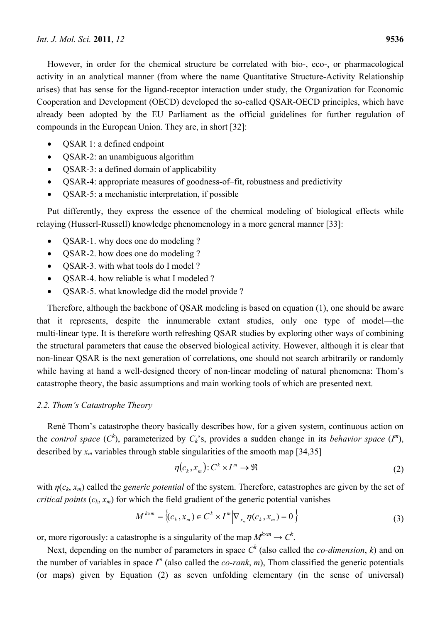However, in order for the chemical structure be correlated with bio-, eco-, or pharmacological activity in an analytical manner (from where the name Quantitative Structure-Activity Relationship arises) that has sense for the ligand-receptor interaction under study, the Organization for Economic Cooperation and Development (OECD) developed the so-called QSAR-OECD principles, which have already been adopted by the EU Parliament as the official guidelines for further regulation of compounds in the European Union. They are, in short [32]:

- QSAR 1: a defined endpoint
- QSAR-2: an unambiguous algorithm
- QSAR-3: a defined domain of applicability
- QSAR-4: appropriate measures of goodness-of–fit, robustness and predictivity
- QSAR-5: a mechanistic interpretation, if possible

Put differently, they express the essence of the chemical modeling of biological effects while relaying (Husserl-Russell) knowledge phenomenology in a more general manner [33]:

- QSAR-1. why does one do modeling ?
- QSAR-2. how does one do modeling ?
- QSAR-3. with what tools do I model ?
- QSAR-4. how reliable is what I modeled ?
- QSAR-5. what knowledge did the model provide ?

Therefore, although the backbone of QSAR modeling is based on equation (1), one should be aware that it represents, despite the innumerable extant studies, only one type of model—the multi-linear type. It is therefore worth refreshing QSAR studies by exploring other ways of combining the structural parameters that cause the observed biological activity. However, although it is clear that non-linear QSAR is the next generation of correlations, one should not search arbitrarily or randomly while having at hand a well-designed theory of non-linear modeling of natural phenomena: Thom's catastrophe theory, the basic assumptions and main working tools of which are presented next.

### *2.2. Thom's Catastrophe Theory*

René Thom's catastrophe theory basically describes how, for a given system, continuous action on the *control space* ( $C^k$ ), parameterized by  $C_k$ 's, provides a sudden change in its *behavior space* ( $I^m$ ), described by  $x_m$  variables through stable singularities of the smooth map [34,35]

$$
\eta(c_k, x_m): C^k \times I^m \to \Re \tag{2}
$$

with  $\eta(c_k, x_m)$  called the *generic potential* of the system. Therefore, catastrophes are given by the set of *critical points*  $(c_k, x_m)$  for which the field gradient of the generic potential vanishes

$$
M^{k \times m} = \left\langle (c_k, x_m) \in C^k \times I^m \middle| \nabla_{x_m} \eta(c_k, x_m) = 0 \right\rangle \tag{3}
$$

or, more rigorously: a catastrophe is a singularity of the map  $M^{k \times m} \to C^k$ .

Next, depending on the number of parameters in space  $C^k$  (also called the *co-dimension*, *k*) and on the number of variables in space  $I^m$  (also called the *co-rank*,  $m$ ), Thom classified the generic potentials (or maps) given by Equation (2) as seven unfolding elementary (in the sense of universal)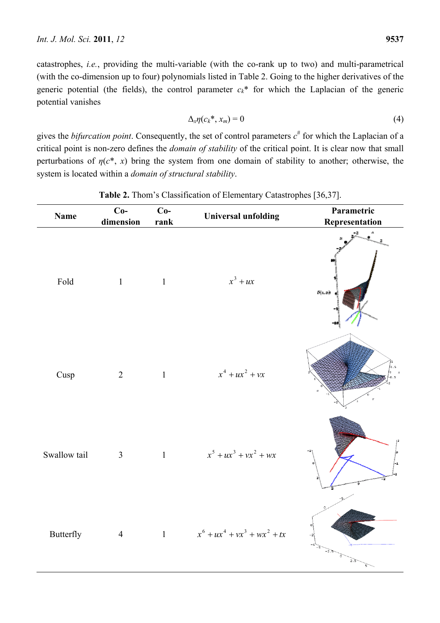catastrophes, *i.e.*, providing the multi-variable (with the co-rank up to two) and multi-parametrical (with the co-dimension up to four) polynomials listed in Table 2. Going to the higher derivatives of the generic potential (the fields), the control parameter  $c_k^*$  for which the Laplacian of the generic potential vanishes

$$
\Delta_x \eta(c_k^*, x_m) = 0 \tag{4}
$$

gives the *bifurcation point*. Consequently, the set of control parameters  $c^{\#}$  for which the Laplacian of a critical point is non-zero defines the *domain of stability* of the critical point. It is clear now that small perturbations of  $\eta(c^*, x)$  bring the system from one domain of stability to another; otherwise, the system is located within a *domain of structural stability*.

| <b>Name</b>  | $Co-$<br>dimension | $Co-$<br>rank | <b>Universal unfolding</b>          | Parametric<br>Representation             |
|--------------|--------------------|---------------|-------------------------------------|------------------------------------------|
| Fold         | 1                  | $\sim$ 1      | $x^3 + ux$                          | -6<br>$F(\boldsymbol{x},\boldsymbol{u})$ |
| Cusp         | $\overline{2}$     | $\mathbf{1}$  | $x^4 + ux^2 + vx$                   | 0.5                                      |
| Swallow tail | 3 <sup>7</sup>     |               | 1 $x^5 + ux^3 + vx^2 + wx$          |                                          |
| Butterfly    |                    |               | 4 1 $x^6 + ux^4 + vx^3 + wx^2 + tx$ |                                          |

**Table 2.** Thom's Classification of Elementary Catastrophes [36,37].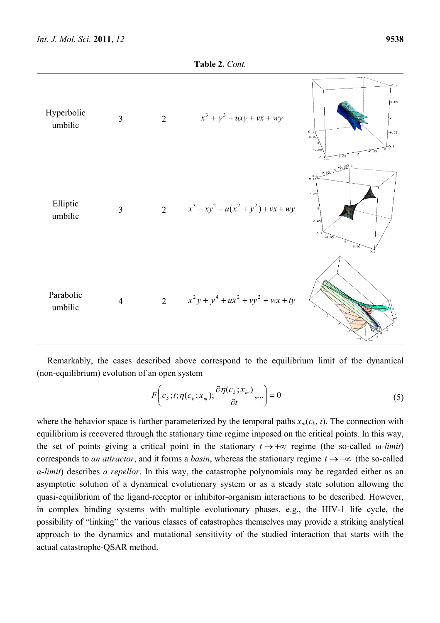

Remarkably, the cases described above correspond to the equilibrium limit of the dynamical (non-equilibrium) evolution of an open system

$$
F\left(c_k; t; \eta(c_k; x_m); \frac{\partial \eta(c_k; x_m)}{\partial t}, \ldots\right) = 0
$$
\n<sup>(5)</sup>

where the behavior space is further parameterized by the temporal paths  $x_m(c_k, t)$ . The connection with equilibrium is recovered through the stationary time regime imposed on the critical points. In this way, the set of points giving a critical point in the stationary  $t \to +\infty$  regime (the so-called  $\omega$ -*limit*) corresponds to *an attractor*, and it forms a *basin*, whereas the stationary regime  $t \rightarrow -\infty$  (the so-called *α-limit*) describes *a repellor*. In this way, the catastrophe polynomials may be regarded either as an asymptotic solution of a dynamical evolutionary system or as a steady state solution allowing the quasi-equilibrium of the ligand-receptor or inhibitor-organism interactions to be described. However, in complex binding systems with multiple evolutionary phases, e.g., the HIV-1 life cycle, the possibility of "linking" the various classes of catastrophes themselves may provide a striking analytical approach to the dynamics and mutational sensitivity of the studied interaction that starts with the actual catastrophe-QSAR method.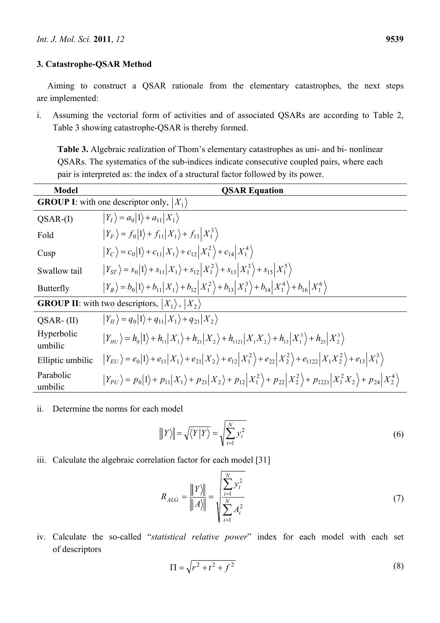## **3. Catastrophe-QSAR Method**

Aiming to construct a QSAR rationale from the elementary catastrophes, the next steps are implemented:

i. Assuming the vectorial form of activities and of associated QSARs are according to Table 2, Table 3 showing catastrophe-QSAR is thereby formed.

**Table 3.** Algebraic realization of Thom's elementary catastrophes as uni- and bi- nonlinear QSARs. The systematics of the sub-indices indicate consecutive coupled pairs, where each pair is interpreted as: the index of a structural factor followed by its power.

| <b>Model</b>          | <b>QSAR Equation</b>                                                                                                                                                 |
|-----------------------|----------------------------------------------------------------------------------------------------------------------------------------------------------------------|
|                       | <b>GROUP I:</b> with one descriptor only, $ X_1\rangle$                                                                                                              |
| $QSAR-(I)$            | $ Y_I\rangle = a_0 1\rangle + a_{11} X_1\rangle$                                                                                                                     |
| Fold                  | $ Y_F\rangle = f_0 1\rangle + f_{11} X_1\rangle + f_{13} X_1^3\rangle$                                                                                               |
| Cusp                  | $ Y_C\rangle = c_0 1\rangle + c_{11} X_1\rangle + c_{12} X_1^2\rangle + c_{14} X_1^4\rangle$                                                                         |
| Swallow tail          | $ Y_{ST}\rangle = s_0 1\rangle + s_{11} X_1\rangle + s_{12} X_1^2\rangle + s_{13} X_1^3\rangle + s_{15} X_1^5\rangle$                                                |
| Butterfly             | $ Y_B\rangle = b_0 1\rangle + b_{11} X_1\rangle + b_{12} X_1^2\rangle + b_{13} X_1^3\rangle + b_{14} X_1^4\rangle + b_{16} X_1^6\rangle$                             |
|                       | <b>GROUP II</b> : with two descriptors, $ X_1\rangle$ , $ X_2\rangle$                                                                                                |
| $QSAR$ - $(II)$       | $ Y_{II}\rangle = q_0 1\rangle + q_{11} X_1\rangle + q_{21} X_2\rangle$                                                                                              |
| Hyperbolic<br>umbilic | $ Y_{HU}\rangle = h_0 1\rangle + h_{11} X_1\rangle + h_{21} X_2\rangle + h_{1121} X_1X_2\rangle + h_{13} X_1^3\rangle + h_{23} X_2^3\rangle$                         |
| Elliptic umbilic      | $ Y_{EU}\rangle = e_0 1\rangle + e_{11} X_1\rangle + e_{21} X_2\rangle + e_{12} X_1^2\rangle + e_{22} X_2^2\rangle + e_{1122} X_1X_2^2\rangle + e_{13} X_1^3\rangle$ |
| Parabolic<br>umbilic  | $ Y_{PU}\rangle = p_0 1\rangle + p_{11} X_1\rangle + p_{21} X_2\rangle + p_{12} X_1^2\rangle + p_{22} X_2^2\rangle + p_{1221} X_1^2X_2\rangle + p_{24} X_2^4\rangle$ |

ii. Determine the norms for each model

$$
\|Y\| = \sqrt{\langle Y|Y\rangle} = \sqrt{\sum_{i=1}^{N} y_i^2}
$$
 (6)

iii. Calculate the algebraic correlation factor for each model [31]

$$
R_{ALG} = \frac{\|Y\|}{\|A\|} = \sqrt{\sum_{i=1}^{N} Y_i^2 \over \sum_{i=1}^{N} A_i^2}
$$
 (7)

iv. Calculate the so-called "*statistical relative power*" index for each model with each set of descriptors

$$
\Pi = \sqrt{r^2 + t^2 + f^2}
$$
 (8)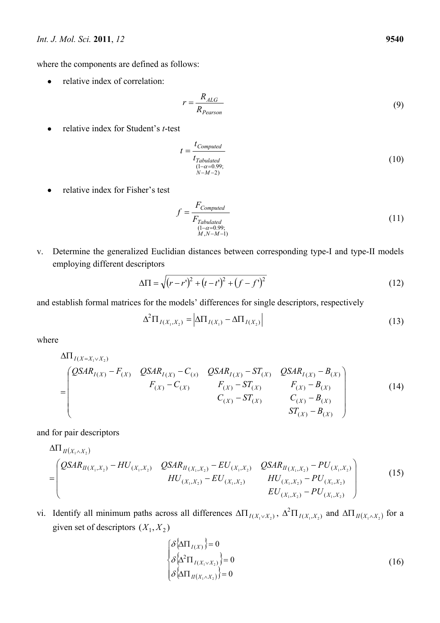where the components are defined as follows:

• relative index of correlation:

$$
r = \frac{R_{ALG}}{R_{Pearson}}
$$
\n(9)

relative index for Student's *t*-test

$$
t = \frac{t_{Computed}}{t_{Tabulated}}\n\frac{(1-\alpha=0.99)}{(N-M-2)}.
$$
\n(10)

• relative index for Fisher's test

$$
f = \frac{F_{Computed}}{F_{Tabulated}}\tag{11}
$$
  

$$
\xrightarrow{\text{(1-}\alpha=0.99; \text{(1-}\alpha=0.99; \text{1})}
$$

v. Determine the generalized Euclidian distances between corresponding type-I and type-II models employing different descriptors

$$
\Delta \Pi = \sqrt{(r - r')^2 + (t - t')^2 + (f - f')^2}
$$
\n(12)

and establish formal matrices for the models' differences for single descriptors, respectively

$$
\Delta^2 \Pi_{I(X_1, X_2)} = |\Delta \Pi_{I(X_1)} - \Delta \Pi_{I(X_2)}|
$$
\n(13)

where

$$
\Delta \Pi_{I(X=X_1 \vee X_2)} = \begin{pmatrix} QSAR_{I(X)} - F_{(X)} & QSAR_{I(X)} - C_{(X)} & QSAR_{I(X)} - ST_{(X)} & QSAR_{I(X)} - B_{(X)} \ F_{(X)} - C_{(X)} & F_{(X)} - ST_{(X)} & F_{(X)} - B_{(X)} \ C_{(X)} - ST_{(X)} & C_{(X)} - B_{(X)} \ ST_{(X)} - B_{(X)} \end{pmatrix}
$$
(14)

and for pair descriptors

$$
\Delta\Pi_{II(X_1, X_2)} \\
= \begin{pmatrix}\nQSAR_{II(X_1, X_2)} - HU_{(X_1, X_2)} & QSAR_{II(X_1, X_2)} - EU_{(X_1, X_2)} & QSAR_{II(X_1, X_2)} - PU_{(X_1, X_2)} \\
HU_{(X_1, X_2)} - EU_{(X_1, X_2)} & HU_{(X_1, X_2)} - PU_{(X_1, X_2)} \\
HU_{(X_1, X_2)} - PU_{(X_1, X_2)} & HU_{(X_1, X_2)} - PU_{(X_1, X_2)}\n\end{pmatrix}
$$
\n(15)

vi. Identify all minimum paths across all differences  $\Delta \Pi_{I(X_1 \vee X_2)}$ ,  $\Delta^2 \Pi_{I(X_1, X_2)}$  $\Delta^2 \Pi_{I(X_1, X_2)}$  and  $\Delta \Pi_{II(X_1 \wedge X_2)}$  for a given set of descriptors  $(X_1, X_2)$ 

$$
\begin{cases}\n\delta \{\Delta \Pi_{I(X)}\} = 0 \\
\delta \{\Delta^2 \Pi_{I(X_1 \vee X_2)}\} = 0 \\
\delta \{\Delta \Pi_{II(X_1 \wedge X_2)}\} = 0\n\end{cases}
$$
\n(16)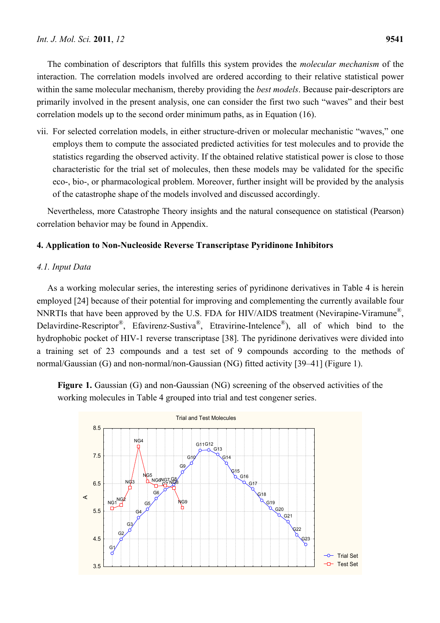The combination of descriptors that fulfills this system provides the *molecular mechanism* of the interaction. The correlation models involved are ordered according to their relative statistical power within the same molecular mechanism, thereby providing the *best models*. Because pair-descriptors are primarily involved in the present analysis, one can consider the first two such "waves" and their best correlation models up to the second order minimum paths, as in Equation (16).

vii. For selected correlation models, in either structure-driven or molecular mechanistic "waves," one employs them to compute the associated predicted activities for test molecules and to provide the statistics regarding the observed activity. If the obtained relative statistical power is close to those characteristic for the trial set of molecules, then these models may be validated for the specific eco-, bio-, or pharmacological problem. Moreover, further insight will be provided by the analysis of the catastrophe shape of the models involved and discussed accordingly.

Nevertheless, more Catastrophe Theory insights and the natural consequence on statistical (Pearson) correlation behavior may be found in Appendix.

# **4. Application to Non-Nucleoside Reverse Transcriptase Pyridinone Inhibitors**

# *4.1. Input Data*

As a working molecular series, the interesting series of pyridinone derivatives in Table 4 is herein employed [24] because of their potential for improving and complementing the currently available four NNRTIs that have been approved by the U.S. FDA for HIV/AIDS treatment (Nevirapine-Viramune®, Delavirdine-Rescriptor®, Efavirenz-Sustiva®, Etravirine-Intelence®), all of which bind to the hydrophobic pocket of HIV-1 reverse transcriptase [38]. The pyridinone derivatives were divided into a training set of 23 compounds and a test set of 9 compounds according to the methods of normal/Gaussian (G) and non-normal/non-Gaussian (NG) fitted activity [39–41] (Figure 1).

**Figure 1.** Gaussian (G) and non-Gaussian (NG) screening of the observed activities of the working molecules in Table 4 grouped into trial and test congener series.

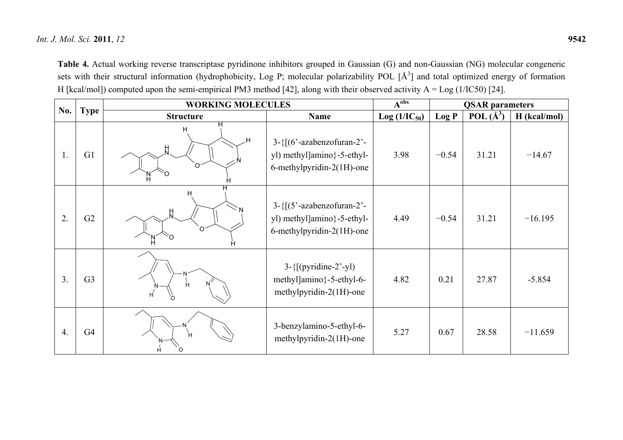**Table 4.** Actual working reverse transcriptase pyridinone inhibitors grouped in Gaussian (G) and non-Gaussian (NG) molecular congeneric sets with their structural information (hydrophobicity, Log P; molecular polarizability POL [Å<sup>3</sup>] and total optimized energy of formation H [kcal/mol]) computed upon the semi-empirical PM3 method [42], along with their observed activity  $A = Log(1/IC50)$  [24].

|                  |                | <b>WORKING MOLECULES</b> | $A^{obs}$                                                                                       | <b>QSAR</b> parameters |         |               |              |
|------------------|----------------|--------------------------|-------------------------------------------------------------------------------------------------|------------------------|---------|---------------|--------------|
| No.              | <b>Type</b>    | <b>Structure</b>         | <b>Name</b>                                                                                     | $Log(1/IC_{50})$       | Log P   | POL $(\AA^3)$ | H (kcal/mol) |
| 1.               | G1             | н<br>н<br>٠Н<br>Ħ.<br>∩  | $3-\{[(6'-azabenzofuran-2'-$<br>yl) methyl]amino}-5-ethyl-<br>6-methylpyridin-2(1H)-one         | 3.98                   | $-0.54$ | 31.21         | $-14.67$     |
| $\overline{2}$ . | G2             | $\Omega$                 | $3 - \{[(5' - azabenzofuran-2' -$<br>yl) methyl]amino}-5-ethyl-<br>$6$ -methylpyridin-2(1H)-one | 4.49                   | $-0.54$ | 31.21         | $-16.195$    |
| 3.               | G <sub>3</sub> | Ĥ                        | $3 - \{[(pyridine-2'-y])\}$<br>methyl]amino}-5-ethyl-6-<br>methylpyridin-2(1H)-one              | 4.82                   | 0.21    | 27.87         | $-5.854$     |
| 4.               | G <sub>4</sub> | н                        | 3-benzylamino-5-ethyl-6-<br>methylpyridin- $2(1H)$ -one                                         | 5.27                   | 0.67    | 28.58         | $-11.659$    |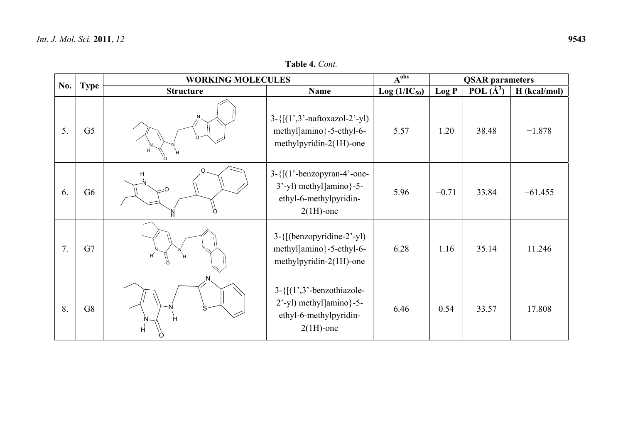|     |                | <b>WORKING MOLECULES</b> |                                                                                                                      | $A^{obs}$        |         | <b>QSAR</b> parameters |              |
|-----|----------------|--------------------------|----------------------------------------------------------------------------------------------------------------------|------------------|---------|------------------------|--------------|
| No. | <b>Type</b>    | <b>Structure</b>         | Name                                                                                                                 | $Log(1/IC_{50})$ | Log P   | POL $(\AA^3)$          | H (kcal/mol) |
| 5.  | G <sub>5</sub> | H                        | $3 - \{[(1', 3' - naftoxazol - 2' - y]\}$<br>methyl]amino}-5-ethyl-6-<br>methylpyridin- $2(1H)$ -one                 | 5.57             | 1.20    | 38.48                  | $-1.878$     |
| 6.  | G <sub>6</sub> | Н<br>- 0<br>$\Omega$     | $3-\{[(1'-benzopyran-4'-one-$<br>3'-yl) methyl]amino}-5-<br>ethyl-6-methylpyridin-<br>$2(1H)$ -one                   | 5.96             | $-0.71$ | 33.84                  | $-61.455$    |
| 7.  | G7             |                          | $3 - \{[(benzopyridine-2'-yl)]\}$<br>methyl]amino}-5-ethyl-6-<br>methylpyridin- $2(1H)$ -one                         | 6.28             | 1.16    | 35.14                  | 11.246       |
| 8.  | G8             | Ĥ<br>H<br>O              | $3 - \{[(1^{\prime},3^{\prime}-benzothiazole -$<br>2'-yl) methyl]amino}-5-<br>ethyl-6-methylpyridin-<br>$2(1H)$ -one | 6.46             | 0.54    | 33.57                  | 17.808       |

**Table 4.** *Cont.*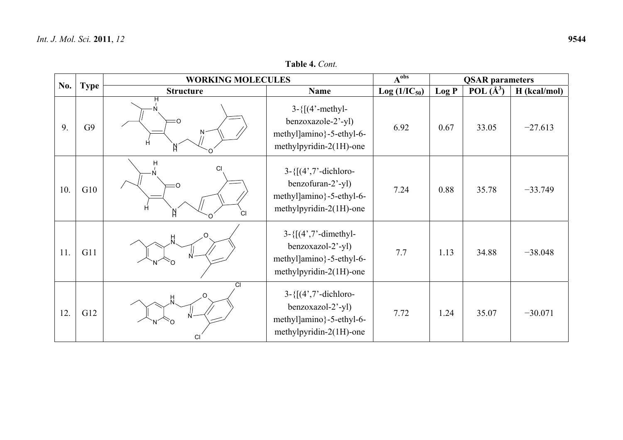$\mathsf{L}$ 

| POL $(\AA^3)$<br>$\vert$ H (kcal/mol)<br>Log P<br>$Log (1/IC_{50})$ | <b>QSAR</b> parameters | ∧ obs |  |
|---------------------------------------------------------------------|------------------------|-------|--|
|                                                                     |                        |       |  |
|                                                                     |                        |       |  |
| yl                                                                  |                        |       |  |

**Table 4.** *Cont.*

|     |             | <b>WORKING MOLECULES</b>     | $A^{obs}$                                                                                                  |                  | <b>QSAR</b> parameters |               |              |
|-----|-------------|------------------------------|------------------------------------------------------------------------------------------------------------|------------------|------------------------|---------------|--------------|
| No. | <b>Type</b> | <b>Structure</b>             | <b>Name</b>                                                                                                | $Log(1/IC_{50})$ | Log P                  | POL $(\AA^3)$ | H (kcal/mol) |
| 9.  | G9          | н<br>Ĥ<br>N                  | $3 - \{[(4'-methyl-$<br>benzoxazole-2'-yl)<br>methyl]amino}-5-ethyl-6-<br>methylpyridin- $2(1H)$ -one      | 6.92             | 0.67                   | 33.05         | $-27.613$    |
| 10. | G10         | Н<br>СI<br>∩<br>Ĥ<br>N<br>СI | $3 - \{[(4', 7'-dichloro-$<br>benzofuran-2'-yl)<br>methyl]amino}-5-ethyl-6-<br>methylpyridin- $2(1H)$ -one | 7.24             | 0.88                   | 35.78         | $-33.749$    |
| 11. | G11         |                              | $3 - \{[(4', 7' - dimethyl-$<br>benzoxazol-2'-yl)<br>methyl]amino}-5-ethyl-6-<br>methylpyridin-2(1H)-one   | 7.7              | 1.13                   | 34.88         | $-38.048$    |
| 12. | G12         | $\overline{c}$<br>H<br>CI    | $3 - \{[(4', 7'-dichloro-$<br>benzoxazol-2'-yl)<br>methyl]amino}-5-ethyl-6-<br>methylpyridin- $2(1H)$ -one | 7.72             | 1.24                   | 35.07         | $-30.071$    |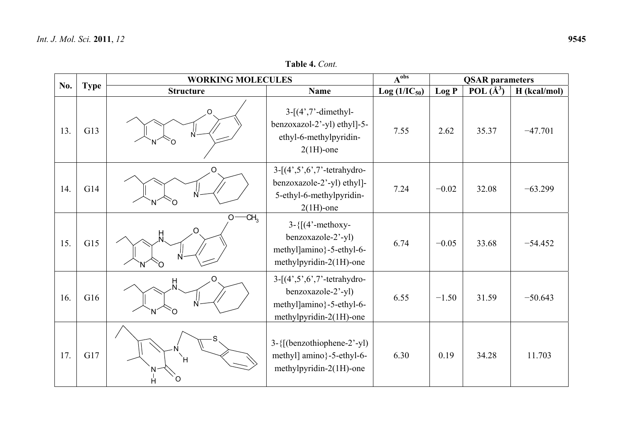|     |             | <b>WORKING MOLECULES</b>       |                                                                                                                                          | $A^{obs}$        |         | <b>QSAR</b> parameters | $-47.701$<br>$-63.299$<br>$-54.452$<br>$-50.643$<br>11.703 |
|-----|-------------|--------------------------------|------------------------------------------------------------------------------------------------------------------------------------------|------------------|---------|------------------------|------------------------------------------------------------|
| No. | <b>Type</b> | <b>Structure</b>               | Name                                                                                                                                     | $Log(1/IC_{50})$ | Log P   | POL $(\AA^3)$          | H (kcal/mol)                                               |
| 13. | G13         | Ń                              | $3-[4',7'-dimethyl-$<br>benzoxazol-2'-yl) ethyl]-5-<br>ethyl-6-methylpyridin-<br>$2(1H)$ -one                                            | 7.55             | 2.62    | 35.37                  |                                                            |
| 14. | G14         | O                              | $3-[4^{\prime},5^{\prime},6^{\prime},7^{\prime}]$ -tetrahydro-<br>benzoxazole-2'-yl) ethyl]-<br>5-ethyl-6-methylpyridin-<br>$2(1H)$ -one | 7.24             | $-0.02$ | 32.08                  |                                                            |
| 15. | G15         | $-CH3$<br>$O -$<br>O<br>Ĥ<br>N | $3-\{[(4'-method)$<br>benzoxazole-2'-yl)<br>methyl]amino}-5-ethyl-6-<br>methylpyridin-2(1H)-one                                          | 6.74             | $-0.05$ | 33.68                  |                                                            |
| 16. | G16         | Ω<br>빘<br>N<br>Ω               | $3 - [(4, 5, 6, 7, 7 - tetrahydro-$<br>benzoxazole-2'-yl)<br>methyl]amino}-5-ethyl-6-<br>methylpyridin-2(1H)-one                         | 6.55             | $-1.50$ | 31.59                  |                                                            |
| 17. | G17         | ÌΗ<br>O<br>Ĥ                   | $3-\{[(benzothiophene-2'-yl)]\}$<br>methyl] amino}-5-ethyl-6-<br>methylpyridin-2(1H)-one                                                 | 6.30             | 0.19    | 34.28                  |                                                            |

**Table 4.** *Cont.*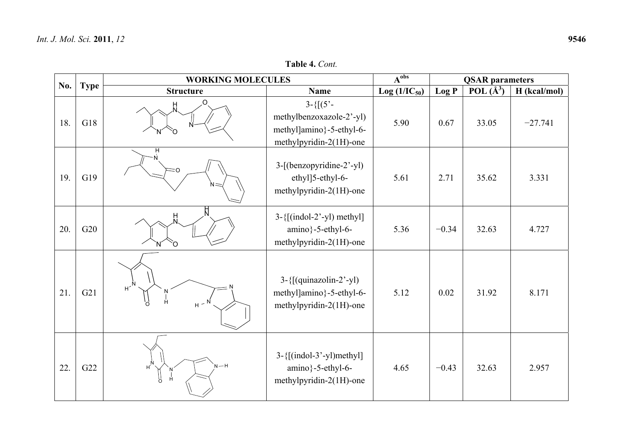**Table 4.** *Cont.*

|     |             | <b>WORKING MOLECULES</b>                                           |                                                                                                  | $A^{obs}$        |         | <b>QSAR</b> parameters |              |  |
|-----|-------------|--------------------------------------------------------------------|--------------------------------------------------------------------------------------------------|------------------|---------|------------------------|--------------|--|
| No. | <b>Type</b> | <b>Structure</b>                                                   | <b>Name</b>                                                                                      | $Log(1/IC_{50})$ | Log P   | POL $(\AA^3)$          | H (kcal/mol) |  |
| 18. | G18         | O<br>H<br>N                                                        | $3 - \{[(5 -$<br>methylbenzoxazole-2'-yl)<br>methyl]amino}-5-ethyl-6-<br>methylpyridin-2(1H)-one | 5.90             | 0.67    | 33.05                  | $-27.741$    |  |
| 19. | G19         | н<br>:റ                                                            | 3-[(benzopyridine-2'-yl)<br>ethyl]5-ethyl-6-<br>methylpyridin-2(1H)-one                          | 5.61             | 2.71    | 35.62                  | 3.331        |  |
| 20. | G20         | Ц<br>$\cap$                                                        | $3 - \{[(indol-2'-yl) \text{ methyl}]\}$<br>amino}-5-ethyl-6-<br>methylpyridin-2(1H)-one         | 5.36             | $-0.34$ | 32.63                  | 4.727        |  |
| 21. | G21         | $H^{\sim N}$<br>$\begin{array}{c}\nN \\ I\n\end{array}$<br>$H - N$ | $3 - \{[(quinazolin-2'-yl)]\}$<br>methyl]amino}-5-ethyl-6-<br>methylpyridin-2(1H)-one            | 5.12             | 0.02    | 31.92                  | 8.171        |  |
| 22. | G22         | $H^{\overrightarrow{\text{N}}}$<br>$N-H$<br>Ĥ<br>5°                | $3 - \{[(indol-3'-yl) \text{methyl}]\}$<br>amino}-5-ethyl-6-<br>methylpyridin-2(1H)-one          | 4.65             | $-0.43$ | 32.63                  | 2.957        |  |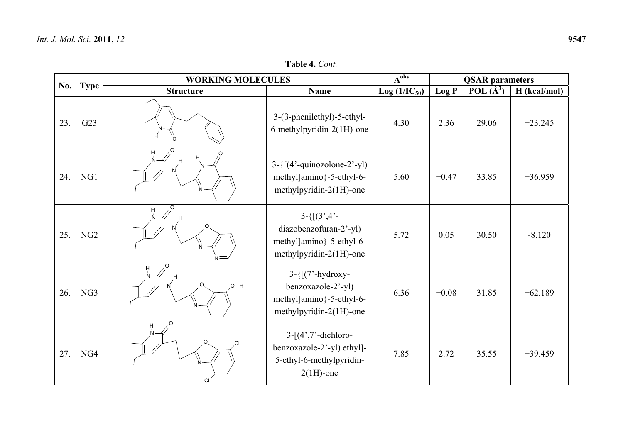|     |             | <b>WORKING MOLECULES</b> |                                                                                                           | $A^{obs}$        |         | <b>QSAR</b> parameters |              |
|-----|-------------|--------------------------|-----------------------------------------------------------------------------------------------------------|------------------|---------|------------------------|--------------|
| No. | <b>Type</b> | <b>Structure</b>         | Name                                                                                                      | $Log(1/IC_{50})$ | Log P   | POL $(\AA^3)$          | H (kcal/mol) |
| 23. | G23         | H                        | $3-(\beta$ -phenilethyl)-5-ethyl-<br>6-methylpyridin-2(1H)-one                                            | 4.30             | 2.36    | 29.06                  | $-23.245$    |
| 24. | NG1         | H<br>$N -$               | $3-\{[(4'-quinozolone-2'-yl)]\}$<br>methyl]amino}-5-ethyl-6-<br>methylpyridin-2(1H)-one                   | 5.60             | $-0.47$ | 33.85                  | $-36.959$    |
| 25. | NG2         | H                        | $3 - \{[(3, 4, -)]\}$<br>diazobenzofuran-2'-yl)<br>methyl]amino}-5-ethyl-6-<br>methylpyridin-2(1H)-one    | 5.72             | 0.05    | 30.50                  | $-8.120$     |
| 26. | NG3         | н<br>$O-H$               | $3 - \{\lceil (7'-hydroxy -$<br>benzoxazole-2'-yl)<br>methyl]amino}-5-ethyl-6-<br>methylpyridin-2(1H)-one | 6.36             | $-0.08$ | 31.85                  | $-62.189$    |
| 27. | NG4         | O<br>H<br>.CI<br>CI      | $3-[4',7'-dichloro-$<br>benzoxazole-2'-yl) ethyl]-<br>5-ethyl-6-methylpyridin-<br>$2(1H)$ -one            | 7.85             | 2.72    | 35.55                  | $-39.459$    |

**Table 4.** *Cont.*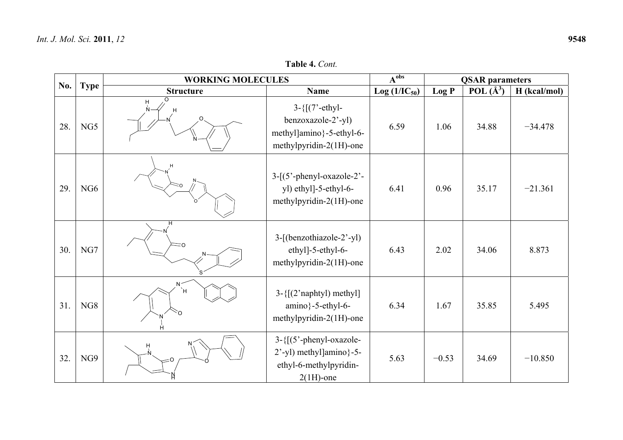$\mathsf{r}$ 

| . 2011, 72 |                          |                |                   |                        |               |              | 9548 |
|------------|--------------------------|----------------|-------------------|------------------------|---------------|--------------|------|
|            |                          | Table 4. Cont. |                   |                        |               |              |      |
| ъe         | <b>WORKING MOLECULES</b> | ∧ obs          |                   | <b>QSAR</b> parameters |               |              |      |
|            | <b>Structure</b>         | Name           | $Log (1/IC_{50})$ | Log P                  | POL $(\AA^3)$ | H (kcal/mol) |      |

**Table 4.** *Cont.*

| No. |             | <b>WORKING MOLECULES</b>   |                                                                                                    | $A^{obs}$        | <b>QSAR</b> parameters |               |              |  |
|-----|-------------|----------------------------|----------------------------------------------------------------------------------------------------|------------------|------------------------|---------------|--------------|--|
|     | <b>Type</b> | <b>Structure</b>           | Name                                                                                               | $Log(1/IC_{50})$ | Log P                  | POL $(\AA^3)$ | H (kcal/mol) |  |
| 28. | NG5         | $\Omega$<br>Η<br>Ņ.<br>Ο   | $3 - \{[(7'-ethyl-$<br>benzoxazole-2'-yl)<br>methyl]amino}-5-ethyl-6-<br>methylpyridin-2(1H)-one   | 6.59             | 1.06                   | 34.88         | $-34.478$    |  |
| 29. | NG6         |                            | $3-[5^{\circ}$ -phenyl-oxazole-2'-<br>yl) ethyl]-5-ethyl-6-<br>methylpyridin- $2(1H)$ -one         | 6.41             | 0.96                   | 35.17         | $-21.361$    |  |
| 30. | NG7         | $\supset$                  | 3-[(benzothiazole-2'-yl)<br>ethyl]-5-ethyl-6-<br>methylpyridin-2(1H)-one                           | 6.43             | 2.02                   | 34.06         | 8.873        |  |
| 31. | NG8         | N <sup>2</sup><br>Ή,<br>`O | $3 - \{[(2'naphtyl) methyl]\}$<br>$amino$ }-5-ethyl-6-<br>methylpyridin-2(1H)-one                  | 6.34             | 1.67                   | 35.85         | 5.495        |  |
| 32. | NG9         |                            | $3 - \{[(5'-phenyl-oxazole -$<br>2'-yl) methyl]amino}-5-<br>ethyl-6-methylpyridin-<br>$2(1H)$ -one | 5.63             | $-0.53$                | 34.69         | $-10.850$    |  |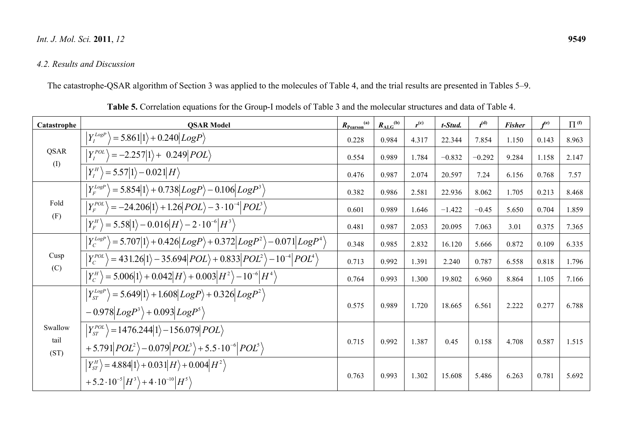#### *Int. J. Mol. Sci.***2011**, *12* **9549**

## *4.2. Results and Discussion*

The catastrophe-QSAR algorithm of Section 3 was applied to the molecules of Table 4, and the trial results are presented in Tables 5–9.

| Catastrophe             | <b>QSAR Model</b>                                                                                                                                | $R_{Pearson}$ <sup>(a)</sup> | $R_{\rm ALG}^{(b)}$ | $r^{(c)}$ | t-Stud.  | $t^{\rm (d)}$ | <b>Fisher</b> | $f^{(e)}$ | $\Pi^{(\text{f})}$ |
|-------------------------|--------------------------------------------------------------------------------------------------------------------------------------------------|------------------------------|---------------------|-----------|----------|---------------|---------------|-----------|--------------------|
|                         | $Y_I^{LogP}$ = 5.861 1 + 0.240 LogP \right]                                                                                                      | 0.228                        | 0.984               | 4.317     | 22.344   | 7.854         | 1.150         | 0.143     | 8.963              |
| QSAR<br>(1)             | $Y_I^{POL}$<br>$= -2.257 1\rangle + 0.249 POL\rangle$                                                                                            | 0.554                        | 0.989               | 1.784     | $-0.832$ | $-0.292$      | 9.284         | 1.158     | 2.147              |
|                         | $ Y_I^H\rangle$ = 5.57 1\ - 0.021 H\}                                                                                                            | 0.476                        | 0.987               | 2.074     | 20.597   | 7.24          | 6.156         | 0.768     | 7.57               |
|                         | $Y_F^{LogP}$<br>$=5.854 1\rangle+0.738 LogP\rangle-0.106 LogP^{3}\rangle$                                                                        | 0.382                        | 0.986               | 2.581     | 22.936   | 8.062         | 1.705         | 0.213     | 8.468              |
| Fold                    | $ Y_F^{POL}\rangle = -24.206 1\rangle + 1.26 POL\rangle - 3.10^{-4} POL^3\rangle$                                                                | 0.601                        | 0.989               | 1.646     | $-1.422$ | $-0.45$       | 5.650         | 0.704     | 1.859              |
| (F)                     | $\left Y_{F}^{H}\right\rangle =5.58 1\rangle -0.016 H\rangle -2\cdot10^{-6} H^{3}\rangle$                                                        | 0.481                        | 0.987               | 2.053     | 20.095   | 7.063         | 3.01          | 0.375     | 7.365              |
|                         | $ Y_c^{LogP}\rangle$ = 5.707 1\+0.426 LogP\+0.372 LogP <sup>2</sup> \-0.071 LogP <sup>4</sup> \                                                  | 0.348                        | 0.985               | 2.832     | 16.120   | 5.666         | 0.872         | 0.109     | 6.335              |
| Cusp                    | $Y_C^{POL}$<br>$\rangle$ = 431.26 1 $\rangle$ – 35.694  $POL\rangle$ + 0.833  $POL^{2} \rangle$ – 10 <sup>-4</sup>   $POL^{4} \rangle$           | 0.713                        | 0.992               | 1.391     | 2.240    | 0.787         | 6.558         | 0.818     | 1.796              |
| (C)                     | $ Y_C^H\rangle$ = 5.006 1\ $+$ 0.042  $H\rangle$ + 0.003  $H^2\rangle$ – 10 <sup>-6</sup>   $H^4\rangle$                                         | 0.764                        | 0.993               | 1.300     | 19.802   | 6.960         | 8.864         | 1.105     | 7.166              |
|                         | $\left Y^{LogP}_{ST}\right>=5.649 1\rangle+1.608 LogP\rangle+0.326 LogP^{2}\rangle$<br>$-0.978 LogP^3\rangle+0.093 LogP^5\rangle$                | 0.575                        | 0.989               | 1.720     | 18.665   | 6.561         | 2.222         | 0.277     | 6.788              |
| Swallow<br>tail<br>(ST) | $\left Y_{ST}^{POL}\right\rangle =1476.244 1\rangle -156.079 POL\rangle$<br>+5.791 $POL^2$ $-0.079$ $POL^3$ $+5.5 \cdot 10^{-6}$ $POL^5$         | 0.715                        | 0.992               | 1.387     | 0.45     | 0.158         | 4.708         | 0.587     | 1.515              |
|                         | $ Y_{ST}^H\rangle = 4.884 1\rangle + 0.031 H\rangle + 0.004 H^2\rangle$<br>+5.2 $\cdot 10^{-5}$ $ H^3\rangle$ + 4 $\cdot 10^{-10}$ $ H^5\rangle$ | 0.763                        | 0.993               | 1.302     | 15.608   | 5.486         | 6.263         | 0.781     | 5.692              |

**Table 5.** Correlation equations for the Group-I models of Table 3 and the molecular structures and data of Table 4.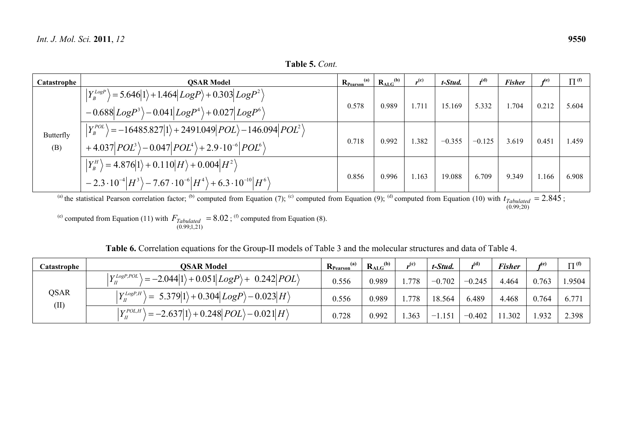**Table 5.** *Cont.*

| Catastrophe      | <b>OSAR Model</b>                                                                                                                                                                 | $R_{Pearson}^{(a)}$ | $R_{ALG}^{(b)}$ | $r^{(c)}$ | t-Stud.  | $t^{(d)}$ | <b>Fisher</b> |              | $\Pi^{(f)}$ |
|------------------|-----------------------------------------------------------------------------------------------------------------------------------------------------------------------------------|---------------------|-----------------|-----------|----------|-----------|---------------|--------------|-------------|
|                  | $ Y_B^{LogP}\rangle$ = 5.646 1\times + 1.464 LogP\ + 0.303 LogP <sup>2</sup> \)<br>$-0.688 LogP^3\rangle -0.041 LogP^4\rangle +0.027 LogP^6\rangle$                               | 0.578               | 0.989           | 1.711     | 15.169   | 5.332     | 1.704         | 0.212        | 5.604       |
| Butterfly<br>(B) | $ Y_{B}^{POL}\rangle = -16485.827 1\rangle + 2491.049 POL\rangle - 146.094  POL^{2}\rangle$<br>+4.037 $ POL^3\rangle$ - 0.047 $ POL^4\rangle$ + 2.9 $\cdot 10^{-6}  POL^6\rangle$ | 0.718               | 0.992           | 1.382     | $-0.355$ | $-0.125$  | 3.619         | 0.451        | 1.459       |
|                  | $ Y_B^H\rangle = 4.876 1\rangle + 0.110 H\rangle + 0.004 H^2\rangle$<br>$-2.3\cdot10^{-4} H^3\rangle -7.67\cdot10^{-6} H^4\rangle +6.3\cdot10^{-10} H^6\rangle$                   | 0.856               | 0.996           | 1.163     | 19.088   | 6.709     | 9.349         | 1.166        | 6.908       |
|                  | (a) the statistical Degree exception factor (b) computed from Equation (7); (c) computed from Equation (0); (d) computed from Equation (10) with t                                |                     |                 |           |          |           |               | $-2$ $945$ . |             |

<sup>(a)</sup> the statistical Pearson correlation factor; <sup>(b)</sup> computed from Equation (7); <sup>(c)</sup> computed from Equation (9); <sup>(d)</sup> computed from Equation (10) with  $t_{Tabulated} = 2.845$ (0.99;20)  $t_{Tabulated} = 2.845 ;$ 

<sup>(e)</sup> computed from Equation (11) with  $F_{Tabulated} = 8.02$ (0.99;1,21)  $F_{Tabulated}$  = 8.02; <sup>(f)</sup> computed from Equation (8).

| <b>Table 6.</b> Correlation equations for the Group-II models of Table 3 and the molecular structures and data of Table 4. |  |  |
|----------------------------------------------------------------------------------------------------------------------------|--|--|
|----------------------------------------------------------------------------------------------------------------------------|--|--|

| Catastrophe | OSAR Model                                                                                                                      | (a)<br>$R_{Pearson}$ | (b)<br>$R_{ALG}$ | $_{\alpha}$ (c) | t-Stud.       | $\boldsymbol{A}^{(d)}$ | <b>Fisher</b> | ∡e    | $\Pi^{(f)}$ |
|-------------|---------------------------------------------------------------------------------------------------------------------------------|----------------------|------------------|-----------------|---------------|------------------------|---------------|-------|-------------|
| <b>OSAR</b> | $\mathbf{V}$ LogP, POL<br>$\rangle = -2.044 1\rangle + 0.051 LogP\rangle + 0.242 POL\rangle$                                    | 0.556                | 0.989            | .778            | $-0.702$      | $-0.245$               | 4.464         | 0.763 | 1.9504      |
|             | $\mathbf{V}$ <i>LogP</i> , $H \setminus$<br>$\vert = 5.379 \vert 1 \rangle + 0.304 \vert Log P \rangle - 0.023 \vert H \rangle$ | 0.556                | 0.989            | 1.778           | 18.564        | 6.489                  | 4.468         | 0.764 | 6.771       |
| (II)        | $V$ <i>POL,H</i><br>$\rightarrow$ = -2.637 1\ + 0.248  <i>POL</i> \ - 0.021  <i>H</i> \                                         | 0.728                | 0.992            | .363            | 1.151<br>$-1$ | $-0.402$               | 11.302        | 1.932 | 2.398       |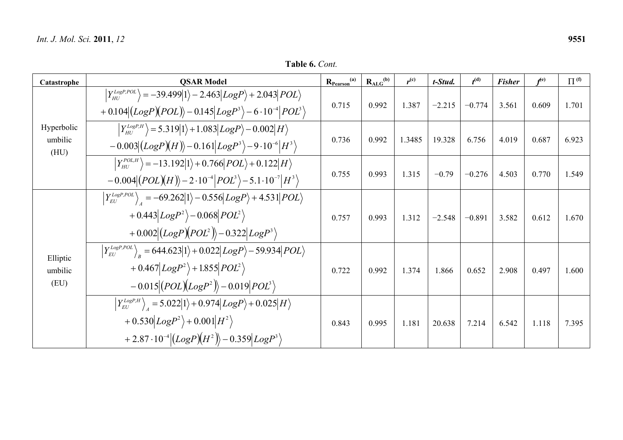| Catastrophe                   | <b>QSAR Model</b>                                                                                                                                                                                                              | $R_{Pearson}$ <sup>(a)</sup> | $R_{ALG}^{(b)}$ | $r^{(c)}$ | t-Stud.  | $t^{(d)}$ | <b>Fisher</b> | $f^{(e)}$ | $\Pi^{(f)}$ |
|-------------------------------|--------------------------------------------------------------------------------------------------------------------------------------------------------------------------------------------------------------------------------|------------------------------|-----------------|-----------|----------|-----------|---------------|-----------|-------------|
|                               | $ Y_{HI}^{LogP,POL}\rangle = -39.499 1\rangle - 2.463 LogP\rangle + 2.043 POL\rangle$<br>$+0.104 (LogP)(POL)\rangle -0.145 LogP^3\rangle -6.10^{-4} POL^3\rangle$                                                              | 0.715                        | 0.992           | 1.387     | $-2.215$ | $-0.774$  | 3.561         | 0.609     | 1.701       |
| Hyperbolic<br>umbilic<br>(HU) | $\left  Y_{HUI}^{LogP,H} \right\rangle = 5.319  1\rangle + 1.083  LogP\rangle - 0.002  H\rangle$<br>$-0.003 (LogP)(H)\rangle - 0.161 LogP^{3}\rangle - 9.10^{-6} H^{3}\rangle$                                                 | 0.736                        | 0.992           | 1.3485    | 19.328   | 6.756     | 4.019         | 0.687     | 6.923       |
|                               | $ Y_{HU}^{POL,H}\rangle = -13.192 1\rangle + 0.766 POL\rangle + 0.122 H\rangle$<br>$-0.004 (POL)(H)\rangle - 2 \cdot 10^{-4} POL^3\rangle - 5.1 \cdot 10^{-7} H^3\rangle$                                                      | 0.755                        | 0.993           | 1.315     | $-0.79$  | $-0.276$  | 4.503         | 0.770     | 1.549       |
|                               | $\left  Y_{EU}^{LogP,POL} \right\rangle$ = -69.262 $ 1\rangle$ - 0.556 $ LogP\rangle$ + 4.531 $ POL\rangle$<br>$+0.443 LogP^2\rangle-0.068 POL^2\rangle$<br>+0.002 $\left( LogP(\overline{POL}^2)\right)$ -0.322 $LogP^3$      | 0.757                        | 0.993           | 1.312     | $-2.548$ | $-0.891$  | 3.582         | 0.612     | 1.670       |
| Elliptic<br>umbilic<br>(EU)   | $\left  Y_{EU}^{Log P, POL} \right\rangle_e = 644.623 \vert 1 \rangle + 0.022 \vert Log P \rangle - 59.934 \vert POL \rangle$<br>$+0.467 LogP^2\rangle+1.855 POL^2\rangle$<br>$-0.015 (POL)(LogP2)\rangle - 0.019 POL3\rangle$ | 0.722                        | 0.992           | 1.374     | 1.866    | 0.652     | 2.908         | 0.497     | 1.600       |
|                               | $\left  Y_{EU}^{LogP,H} \right\rangle_A = 5.022  1\rangle + 0.974  LogP\rangle + 0.025  H\rangle$<br>$+0.530 LogP^2\rangle+0.001 H^2\rangle$<br>+2.87 $\cdot 10^{-4}$ $\left(LogP\right)(H^2)$ $- 0.359$ $LogP^3$              | 0.843                        | 0.995           | 1.181     | 20.638   | 7.214     | 6.542         | 1.118     | 7.395       |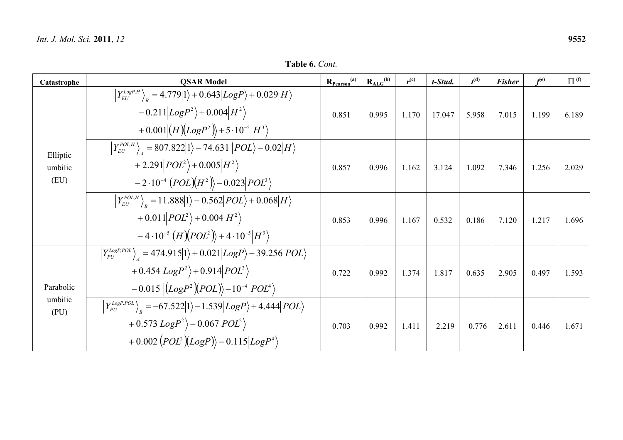**Table 6.** *Cont.*

| Catastrophe                 | <b>QSAR Model</b>                                                                                                                                                                                                                                                  | $R_{Pearson}$ <sup>(a)</sup> | $R_{ALG}^{(b)}$ | $r^{(c)}$ | t-Stud.  | $t^{\rm (d)}$ | <b>Fisher</b> | $f^{(e)}$ | $\Pi^{(f)}$ |
|-----------------------------|--------------------------------------------------------------------------------------------------------------------------------------------------------------------------------------------------------------------------------------------------------------------|------------------------------|-----------------|-----------|----------|---------------|---------------|-----------|-------------|
|                             | $\left Y_{EU}^{Log P, H}\right\rangle_{_p}=4.779 1\rangle+0.643 Log P\rangle+0.029 H\rangle$<br>$-0.211 LogP^2\rangle + 0.004 H^2\rangle$<br>+ 0.001 $(H)(LogP^2)$ + 5 · 10 <sup>-5</sup> $ H^3$                                                                   | 0.851                        | 0.995           | 1.170     | 17.047   | 5.958         | 7.015         | 1.199     | 6.189       |
| Elliptic<br>umbilic<br>(EU) | $\left Y_{EU}^{POL,H}\right\rangle_A = 807.822 1\rangle - 74.631 POL\rangle - 0.02 H\rangle$<br>+2.291 $POL^2$ + 0.005 $H^2$<br>$-2.10^{-4}  (POL)(H^2) \rangle - 0.023   POL^3 \rangle$                                                                           | 0.857                        | 0.996           | 1.162     | 3.124    | 1.092         | 7.346         | 1.256     | 2.029       |
|                             | $\left  Y_{EU}^{POL,H} \right\rangle_{B} = 11.888  1\rangle - 0.562   POL\rangle + 0.068  H\rangle$<br>$+ 0.011   POL^2\rangle + 0.004  H^2\rangle$<br>$-4.10^{-5}$ $\left \left(H\right)\left(POL^{2}\right)\right\rangle + 4.10^{-5}$ $\left H^{3}\right\rangle$ | 0.853                        | 0.996           | 1.167     | 0.532    | 0.186         | 7.120         | 1.217     | 1.696       |
| Parabolic                   | $\left  Y_{PU}^{LogP,POL} \right\rangle_{A} = 474.915  1\rangle + 0.021  LogP\rangle - 39.256   POL\rangle$<br>+0.454 $LogP^2$ +0.914 $POL^2$<br>$-0.015\left \left(LogP^2\right)\left(POL\right)\right\rangle-10^{-4}\left POL^4\right\rangle$                    | 0.722                        | 0.992           | 1.374     | 1.817    | 0.635         | 2.905         | 0.497     | 1.593       |
| umbilic<br>(PU)             | $\left  Y_{PU}^{LogP,POL} \right\rangle_{p} = -67.522  1\rangle - 1.539  LogP\rangle + 4.444  POL\rangle$<br>$+0.573 LogP^2\rangle -0.067 POL^2\rangle$<br>$+0.002 (POL^{2})(Log P)\rangle-0.115 Log P^{4}\rangle$                                                 | 0.703                        | 0.992           | 1.411     | $-2.219$ | $-0.776$      | 2.611         | 0.446     | 1.671       |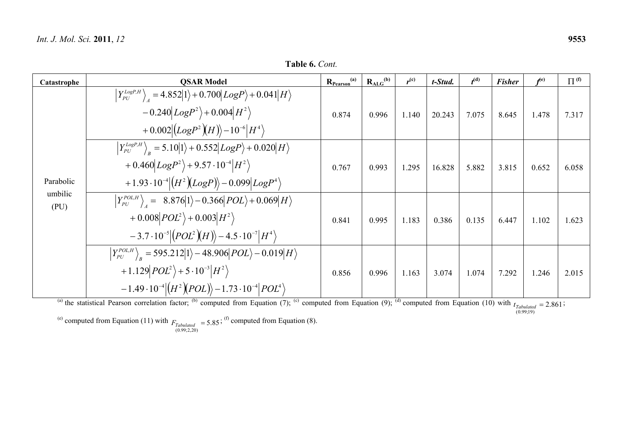**Table 6.** *Cont.*

| Catastrophe     | <b>QSAR Model</b>                                                                                                                                               | $R_{Pearson}^{(a)}$ | $R_{ALG}^{(b)}$ | $r^{(c)}$ | t-Stud. | $t^{(d)}$ | <b>Fisher</b> | f <sup>(e)</sup> | $\Pi^{(\text{f})}$ |
|-----------------|-----------------------------------------------------------------------------------------------------------------------------------------------------------------|---------------------|-----------------|-----------|---------|-----------|---------------|------------------|--------------------|
|                 | $\left  Y_{PU}^{LogP,H} \right\rangle_{A} = 4.852 \big  1 \rangle + 0.700 \big  LogP \big\rangle + 0.041 \big  H \big\rangle$                                   |                     |                 |           |         |           |               |                  |                    |
|                 | $-0.240 LogP^2\rangle + 0.004 H^2\rangle$                                                                                                                       | 0.874               | 0.996           | 1.140     | 20.243  | 7.075     | 8.645         | 1.478            | 7.317              |
|                 | $+0.002\left(LogP^2(H)\right)-10^{-6} H^4\rangle$                                                                                                               |                     |                 |           |         |           |               |                  |                    |
|                 | $\left  Y_{PU}^{LogP,H} \right\rangle_{p} = 5.10  1\rangle + 0.552  LogP\rangle + 0.020  H\rangle$                                                              |                     |                 |           |         |           |               |                  |                    |
|                 | + $0.460 LogP^2\rangle$ + $9.57 \cdot 10^{-4}  H^2\rangle$                                                                                                      | 0.767               | 0.993           | 1.295     | 16.828  | 5.882     | 3.815         | 0.652            | 6.058              |
| Parabolic       | +1.93 $\cdot 10^{-4}  (H^2)(Log P) \rangle - 0.099  Log P^4 \rangle$                                                                                            |                     |                 |           |         |           |               |                  |                    |
| umbilic<br>(PU) | $\left  Y_{PU}^{POL,H} \right\rangle$ = 8.876 $ 1\rangle$ - 0.366 $ POL\rangle$ + 0.069 $ H\rangle$                                                             |                     |                 |           |         |           |               |                  |                    |
|                 | + 0.008 $POL^2$ + 0.003 $H^2$                                                                                                                                   | 0.841               | 0.995           | 1.183     | 0.386   | 0.135     | 6.447         | 1.102            | 1.623              |
|                 | $-3.7\cdot10^{-5}$ $(POL^{2})(H)$ $-4.5\cdot10^{-7}$ $H^{4}$                                                                                                    |                     |                 |           |         |           |               |                  |                    |
|                 | $\left Y_{PU}^{POL,H}\right\rangle_{R} = 595.212 1\rangle - 48.906 POL\rangle - 0.019 H\rangle$                                                                 |                     |                 |           |         |           |               |                  |                    |
|                 | +1.129 $POL^2$ + 5 $\cdot 10^{-3}$ $H^2$ $\rangle$                                                                                                              | 0.856               | 0.996           | 1.163     | 3.074   | 1.074     | 7.292         | 1.246            | 2.015              |
|                 | $-1.49 \cdot 10^{-4}   (H^2)(POL) \rangle - 1.73 \cdot 10^{-4}   POL^4 \rangle$                                                                                 |                     |                 |           |         |           |               |                  |                    |
|                 | (a) the statistical Pearson correlation factor: (b) computed from Equation (7): (c) computed from Equation (9): (d) computed from Equation (10) with $\epsilon$ |                     |                 |           |         |           |               | $-2061$          |                    |

the statistical Pearson correlation factor;  $\alpha$  computed from Equation (1);  $\alpha$  computed from Equation (9);  $\alpha$  computed from Equation (10) *rabutated*<br>(0.99;19)  $t_{Tabulated} = 2.861;$ 

<sup>(e)</sup> computed from Equation (11) with  $F_{Tabulated} = 5.85$ ; <sup>(f)</sup> computed from Equation (8).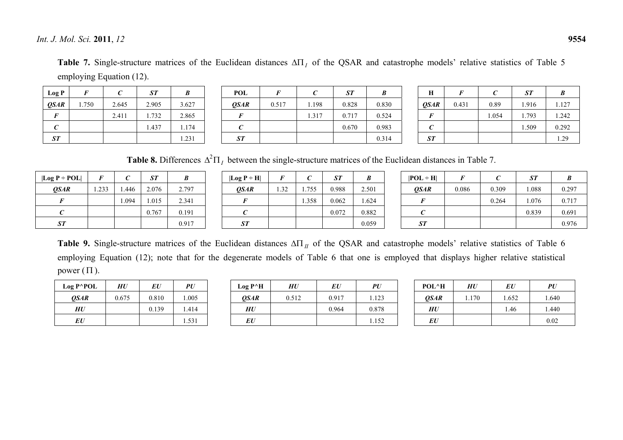*Int. J. Mol. Sci.***2011**, *12* **9554**

Table 7. Single-structure matrices of the Euclidean distances  $\Delta\Pi$ , of the QSAR and catastrophe models' relative statistics of Table 5 employing Equation (12).

| Log P       | F     | C     | ST    | B     |
|-------------|-------|-------|-------|-------|
| <b>QSAR</b> | 1.750 | 2.645 | 2.905 | 3.627 |
| F           |       | 2.411 | 1.732 | 2.865 |
| C           |       |       | 1.437 | 1.174 |
| ST          |       |       |       | 1.231 |

| POL  | F     | C     | ST    | B     |
|------|-------|-------|-------|-------|
| QSAR | 0.517 | 1.198 | 0.828 | 0.830 |
| F    |       | 1.317 | 0.717 | 0.524 |
| C    |       |       | 0.670 | 0.983 |
| ST   |       |       |       | 0.314 |

| Н           | F     | C     | ST    | B     |
|-------------|-------|-------|-------|-------|
| <b>QSAR</b> | 0.431 | 0.89  | 1.916 | 1.127 |
| F           |       | 1.054 | 1.793 | 1.242 |
| $\epsilon$  |       |       | 1.509 | 0.292 |
| ST          |       |       |       | 1.29  |

**Table 8.** Differences  $\Delta^2 \Pi_I$  between the single-structure matrices of the Euclidean distances in Table 7.

| $\lfloor \log P \div \text{POL} \rfloor$ | F     | $\epsilon$ | ST    | B     |
|------------------------------------------|-------|------------|-------|-------|
| <i>OSAR</i>                              | 1.233 | 1.446      | 2.076 | 2.797 |
| F                                        |       | 1.094      | 1.015 | 2.341 |
| C                                        |       |            | 0.767 | 0.191 |
| ST                                       |       |            |       | 0.917 |

| $ Log P \div H $ | F    | C     | ST    | B     |
|------------------|------|-------|-------|-------|
| <b>OSAR</b>      | 1.32 | 1.755 | 0.988 | 2.501 |
| F                |      | 1.358 | 0.062 | 1.624 |
| C                |      |       | 0.072 | 0.882 |
| ST               |      |       |       | 0.059 |

| $ POL + H $        | F     | C     | ST    | B     |
|--------------------|-------|-------|-------|-------|
| <i><b>OSAR</b></i> | 0.086 | 0.309 | 1.088 | 0.297 |
| F                  |       | 0.264 | 1.076 | 0.717 |
| C                  |       |       | 0.839 | 0.691 |
| ST                 |       |       |       | 0.976 |

**Table 9.** Single-structure matrices of the Euclidean distances  $\Delta\Pi_H$  of the QSAR and catastrophe models' relative statistics of Table 6 employing Equation (12); note that for the degenerate models of Table 6 that one is employed that displays higher relative statistical power  $(\Pi)$ .

| $Log P^{\wedge}POL$ | HU    | EU    | PU    |
|---------------------|-------|-------|-------|
| <i><b>OSAR</b></i>  | 0.675 | 0.810 | 1.005 |
| <b>HU</b>           |       | 0.139 | 1.414 |
| EU                  |       |       | 1.531 |

| $Log P^A$ H        | HU    | EU    | PU    |
|--------------------|-------|-------|-------|
| <i><b>OSAR</b></i> | 0.512 | 0.917 | 1.123 |
| <b>HU</b>          |       | 0.964 | 0.878 |
| EU                 |       |       | 1.152 |

| POL^H       | HU    | EU    | PU    |
|-------------|-------|-------|-------|
| <b>QSAR</b> | 1.170 | 1.652 | 1.640 |
| <b>HU</b>   |       | 1.46  | 1.440 |
| EU          |       |       | 0.02  |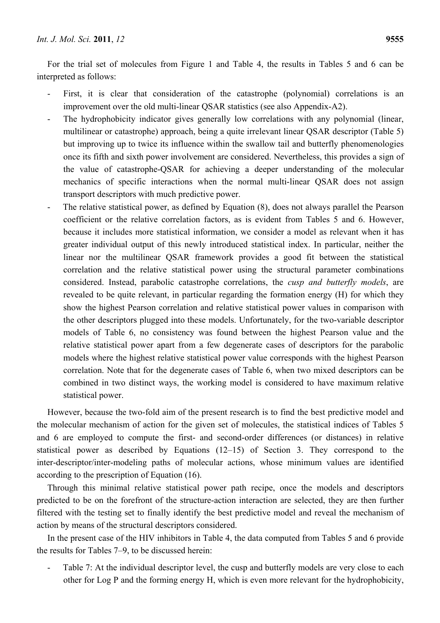For the trial set of molecules from Figure 1 and Table 4, the results in Tables 5 and 6 can be interpreted as follows:

- First, it is clear that consideration of the catastrophe (polynomial) correlations is an improvement over the old multi-linear QSAR statistics (see also Appendix-A2).
- The hydrophobicity indicator gives generally low correlations with any polynomial (linear, multilinear or catastrophe) approach, being a quite irrelevant linear QSAR descriptor (Table 5) but improving up to twice its influence within the swallow tail and butterfly phenomenologies once its fifth and sixth power involvement are considered. Nevertheless, this provides a sign of the value of catastrophe-QSAR for achieving a deeper understanding of the molecular mechanics of specific interactions when the normal multi-linear QSAR does not assign transport descriptors with much predictive power.
- The relative statistical power, as defined by Equation (8), does not always parallel the Pearson coefficient or the relative correlation factors, as is evident from Tables 5 and 6. However, because it includes more statistical information, we consider a model as relevant when it has greater individual output of this newly introduced statistical index. In particular, neither the linear nor the multilinear QSAR framework provides a good fit between the statistical correlation and the relative statistical power using the structural parameter combinations considered. Instead, parabolic catastrophe correlations, the *cusp and butterfly models*, are revealed to be quite relevant, in particular regarding the formation energy (H) for which they show the highest Pearson correlation and relative statistical power values in comparison with the other descriptors plugged into these models. Unfortunately, for the two-variable descriptor models of Table 6, no consistency was found between the highest Pearson value and the relative statistical power apart from a few degenerate cases of descriptors for the parabolic models where the highest relative statistical power value corresponds with the highest Pearson correlation. Note that for the degenerate cases of Table 6, when two mixed descriptors can be combined in two distinct ways, the working model is considered to have maximum relative statistical power.

However, because the two-fold aim of the present research is to find the best predictive model and the molecular mechanism of action for the given set of molecules, the statistical indices of Tables 5 and 6 are employed to compute the first- and second-order differences (or distances) in relative statistical power as described by Equations  $(12-15)$  of Section 3. They correspond to the inter-descriptor/inter-modeling paths of molecular actions, whose minimum values are identified according to the prescription of Equation (16).

Through this minimal relative statistical power path recipe, once the models and descriptors predicted to be on the forefront of the structure-action interaction are selected, they are then further filtered with the testing set to finally identify the best predictive model and reveal the mechanism of action by means of the structural descriptors considered.

In the present case of the HIV inhibitors in Table 4, the data computed from Tables 5 and 6 provide the results for Tables 7–9, to be discussed herein:

Table 7: At the individual descriptor level, the cusp and butterfly models are very close to each other for Log P and the forming energy H, which is even more relevant for the hydrophobicity,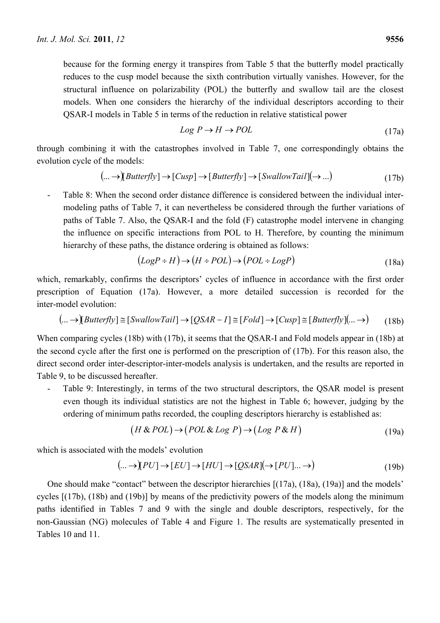$$
Log P \to H \to POL \tag{17a}
$$

through combining it with the catastrophes involved in Table 7, one correspondingly obtains the evolution cycle of the models:

$$
(... \rightarrow)[Butterfly] \rightarrow [Cusp] \rightarrow [Butterfly] \rightarrow [SwallowTail] (\rightarrow ...)
$$
\n(17b)

- Table 8: When the second order distance difference is considered between the individual intermodeling paths of Table 7, it can nevertheless be considered through the further variations of paths of Table 7. Also, the QSAR-I and the fold (F) catastrophe model intervene in changing the influence on specific interactions from POL to H. Therefore, by counting the minimum hierarchy of these paths, the distance ordering is obtained as follows:

$$
(LogP \div H) \rightarrow (H \div POL) \rightarrow (POL \div LogP)
$$
\n(18a)

which, remarkably, confirms the descriptors' cycles of influence in accordance with the first order prescription of Equation (17a). However, a more detailed succession is recorded for the inter-model evolution:

$$
(... \to)[Butterfly] \cong [SwallowTail] \to [QSAR - I] \cong [Fold] \to [Cusp] \cong [Butterfly](... \to) \tag{18b}
$$

When comparing cycles (18b) with (17b), it seems that the QSAR-I and Fold models appear in (18b) at the second cycle after the first one is performed on the prescription of (17b). For this reason also, the direct second order inter-descriptor-inter-models analysis is undertaken, and the results are reported in Table 9, to be discussed hereafter.

Table 9: Interestingly, in terms of the two structural descriptors, the QSAR model is present even though its individual statistics are not the highest in Table 6; however, judging by the ordering of minimum paths recorded, the coupling descriptors hierarchy is established as:

$$
(H & POL) \to (POL & Log P) \to (Log P & H)
$$
\n(19a)

which is associated with the models' evolution

$$
(\dots \to [PU] \to [EU] \to [HU] \to [QSAR] (\to [PU] \dots \to)
$$
\n
$$
(19b)
$$

One should make "contact" between the descriptor hierarchies [(17a), (18a), (19a)] and the models' cycles [(17b), (18b) and (19b)] by means of the predictivity powers of the models along the minimum paths identified in Tables 7 and 9 with the single and double descriptors, respectively, for the non-Gaussian (NG) molecules of Table 4 and Figure 1. The results are systematically presented in Tables 10 and 11.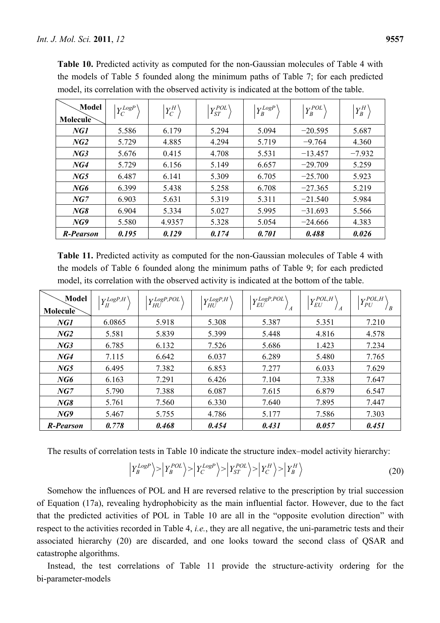| Model<br>Molecule | $Y_C^{LogP}$ | $Y_C^H$ | $Y_{ST}^{POL}$ | $\left  Y_B^{LogP} \right\rangle$ | $\left  Y_{B}^{POL} \right\rangle$ | $Y_B^H$  |
|-------------------|--------------|---------|----------------|-----------------------------------|------------------------------------|----------|
| NGI               | 5.586        | 6.179   | 5.294          | 5.094                             | $-20.595$                          | 5.687    |
| NG2               | 5.729        | 4.885   | 4.294          | 5.719                             | $-9.764$                           | 4.360    |
| NG3               | 5.676        | 0.415   | 4.708          | 5.531                             | $-13.457$                          | $-7.932$ |
| NG4               | 5.729        | 6.156   | 5.149          | 6.657                             | $-29.709$                          | 5.259    |
| NG5               | 6.487        | 6.141   | 5.309          | 6.705                             | $-25.700$                          | 5.923    |
| NG6               | 6.399        | 5.438   | 5.258          | 6.708                             | $-27.365$                          | 5.219    |
| NG7               | 6.903        | 5.631   | 5.319          | 5.311                             | $-21.540$                          | 5.984    |
| NG8               | 6.904        | 5.334   | 5.027          | 5.995                             | $-31.693$                          | 5.566    |
| NG9               | 5.580        | 4.9357  | 5.328          | 5.054                             | $-24.666$                          | 4.383    |
| <b>R-Pearson</b>  | 0.195        | 0.129   | 0.174          | 0.701                             | 0.488                              | 0.026    |

**Table 10.** Predicted activity as computed for the non-Gaussian molecules of Table 4 with the models of Table 5 founded along the minimum paths of Table 7; for each predicted model, its correlation with the observed activity is indicated at the bottom of the table.

**Table 11.** Predicted activity as computed for the non-Gaussian molecules of Table 4 with the models of Table 6 founded along the minimum paths of Table 9; for each predicted model, its correlation with the observed activity is indicated at the bottom of the table.

| Model<br>Molecule | $Y_{II}^{LogP,H}$ | $Y^{Log P, POL}_{HU}\Big\rangle$ | $Y_{HU}^{LogP,H}$ | $\left  Y_{EU}^{Log P, POL} \right\rangle$ | $Y_{EU}^{POL,H}$ | $\left  Y^{POL,H}_{PU} \right\rangle_B$ |
|-------------------|-------------------|----------------------------------|-------------------|--------------------------------------------|------------------|-----------------------------------------|
|                   |                   |                                  |                   |                                            |                  |                                         |
| NGI               | 6.0865            | 5.918                            | 5.308             | 5.387                                      | 5.351            | 7.210                                   |
| NG2               | 5.581             | 5.839                            | 5.399             | 5.448                                      | 4.816            | 4.578                                   |
| NG3               | 6.785             | 6.132                            | 7.526             | 5.686                                      | 1.423            | 7.234                                   |
| NG4               | 7.115             | 6.642                            | 6.037             | 6.289                                      | 5.480            | 7.765                                   |
| NG5               | 6.495             | 7.382                            | 6.853             | 7.277                                      | 6.033            | 7.629                                   |
| NG6               | 6.163             | 7.291                            | 6.426             | 7.104                                      | 7.338            | 7.647                                   |
| NG7               | 5.790             | 7.388                            | 6.087             | 7.615                                      | 6.879            | 6.547                                   |
| NG8               | 5.761             | 7.560                            | 6.330             | 7.640                                      | 7.895            | 7.447                                   |
| NG9               | 5.467             | 5.755                            | 4.786             | 5.177                                      | 7.586            | 7.303                                   |
| <b>R-Pearson</b>  | 0.778             | 0.468                            | 0.454             | 0.431                                      | 0.057            | 0.451                                   |

The results of correlation tests in Table 10 indicate the structure index–model activity hierarchy:

$$
\left| Y_B^{LogP} \right\rangle > \left| Y_B^{POL} \right\rangle > \left| Y_C^{LogP} \right\rangle > \left| Y_{ST}^{POL} \right\rangle > \left| Y_C^H \right\rangle > \left| Y_B^H \right\rangle \tag{20}
$$

Somehow the influences of POL and H are reversed relative to the prescription by trial succession of Equation (17a), revealing hydrophobicity as the main influential factor. However, due to the fact that the predicted activities of POL in Table 10 are all in the "opposite evolution direction" with respect to the activities recorded in Table 4, *i.e.*, they are all negative, the uni-parametric tests and their associated hierarchy (20) are discarded, and one looks toward the second class of QSAR and catastrophe algorithms.

Instead, the test correlations of Table 11 provide the structure-activity ordering for the bi-parameter-models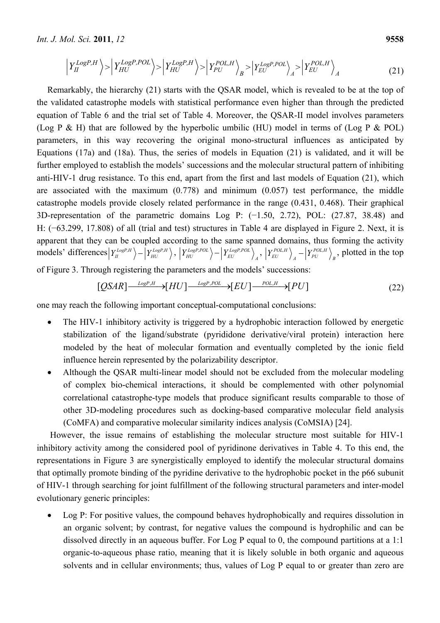*Int. J. Mol. Sci.* **2011**, *12* **9558**

$$
\left| Y_{II}^{LogP,H} \right\rangle > \left| Y_{HU}^{LogP,POL} \right\rangle > \left| Y_{HU}^{LogP,H} \right\rangle > \left| Y_{PU}^{POL,H} \right\rangle_B > \left| Y_{EU}^{LogP,POL} \right\rangle_A > \left| Y_{EU}^{POL,H} \right\rangle_A
$$
\n(21)

Remarkably, the hierarchy (21) starts with the QSAR model, which is revealed to be at the top of the validated catastrophe models with statistical performance even higher than through the predicted equation of Table 6 and the trial set of Table 4. Moreover, the QSAR-II model involves parameters (Log P & H) that are followed by the hyperbolic umbilic (HU) model in terms of (Log P & POL) parameters, in this way recovering the original mono-structural influences as anticipated by Equations (17a) and (18a). Thus, the series of models in Equation (21) is validated, and it will be further employed to establish the models' successions and the molecular structural pattern of inhibiting anti-HIV-1 drug resistance. To this end, apart from the first and last models of Equation (21), which are associated with the maximum (0.778) and minimum (0.057) test performance, the middle catastrophe models provide closely related performance in the range (0.431, 0.468). Their graphical 3D-representation of the parametric domains Log P: (−1.50, 2.72), POL: (27.87, 38.48) and H: (−63.299, 17.808) of all (trial and test) structures in Table 4 are displayed in Figure 2. Next, it is apparent that they can be coupled according to the same spanned domains, thus forming the activity  $\ket{\text{models}}'$  differences  $\ket{Y_{HU}^{LogP,H}} - \ket{Y_{HU}^{LogP,POL}}$ ,  $\ket{Y_{HU}^{LogP,POL}} - \ket{Y_{EU}^{LogP,POL}}$  $\left\langle Y^{LogP,POL}_{HU}\right\rangle -\left\vert Y^{LogP,POL}_{EU}\right\rangle _{A},\ \left\vert Y^{POL,H}_{EU}\right\rangle _{A}-\left\vert Y^{POL,H}_{PU}\right\rangle _{B},$  $\left\langle Y_{EU}^{POL,H} \right\rangle_A - \left\langle Y_{PU}^{POL,H} \right\rangle_B$ , plotted in the top of Figure 3. Through registering the parameters and the models' successions:

$$
[QSAR] \xrightarrow{LogP,H} [HU] \xrightarrow{LogP,POL} [EU] \xrightarrow{Pol,H} [PU]
$$
\n(22)

one may reach the following important conceptual-computational conclusions:

- The HIV-1 inhibitory activity is triggered by a hydrophobic interaction followed by energetic stabilization of the ligand/substrate (pyrididone derivative/viral protein) interaction here modeled by the heat of molecular formation and eventually completed by the ionic field influence herein represented by the polarizability descriptor.
- Although the QSAR multi-linear model should not be excluded from the molecular modeling of complex bio-chemical interactions, it should be complemented with other polynomial correlational catastrophe-type models that produce significant results comparable to those of other 3D-modeling procedures such as docking-based comparative molecular field analysis (CoMFA) and comparative molecular similarity indices analysis (CoMSIA) [24].

However, the issue remains of establishing the molecular structure most suitable for HIV-1 inhibitory activity among the considered pool of pyridinone derivatives in Table 4. To this end, the representations in Figure 3 are synergistically employed to identify the molecular structural domains that optimally promote binding of the pyridine derivative to the hydrophobic pocket in the p66 subunit of HIV-1 through searching for joint fulfillment of the following structural parameters and inter-model evolutionary generic principles:

• Log P: For positive values, the compound behaves hydrophobically and requires dissolution in an organic solvent; by contrast, for negative values the compound is hydrophilic and can be dissolved directly in an aqueous buffer. For Log P equal to 0, the compound partitions at a 1:1 organic-to-aqueous phase ratio, meaning that it is likely soluble in both organic and aqueous solvents and in cellular environments; thus, values of Log P equal to or greater than zero are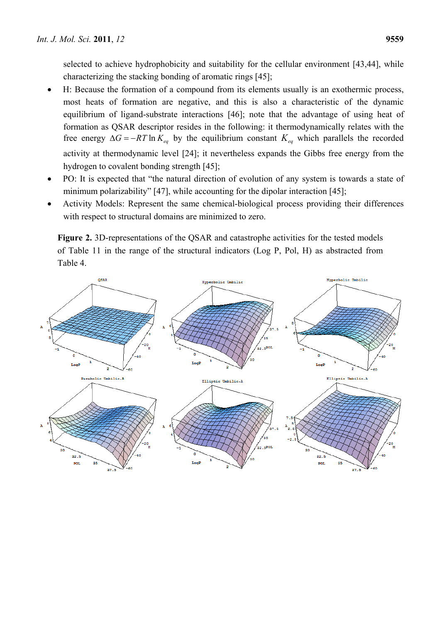selected to achieve hydrophobicity and suitability for the cellular environment [43,44], while characterizing the stacking bonding of aromatic rings [45];

- H: Because the formation of a compound from its elements usually is an exothermic process, most heats of formation are negative, and this is also a characteristic of the dynamic equilibrium of ligand-substrate interactions [46]; note that the advantage of using heat of formation as QSAR descriptor resides in the following: it thermodynamically relates with the free energy  $\Delta G = -RT \ln K_{eq}$  by the equilibrium constant  $K_{eq}$  which parallels the recorded activity at thermodynamic level [24]; it nevertheless expands the Gibbs free energy from the hydrogen to covalent bonding strength [45];
- PO: It is expected that "the natural direction of evolution of any system is towards a state of minimum polarizability" [47], while accounting for the dipolar interaction [45];
- Activity Models: Represent the same chemical-biological process providing their differences with respect to structural domains are minimized to zero.

**Figure 2.** 3D-representations of the QSAR and catastrophe activities for the tested models of Table 11 in the range of the structural indicators (Log P, Pol, H) as abstracted from Table 4.

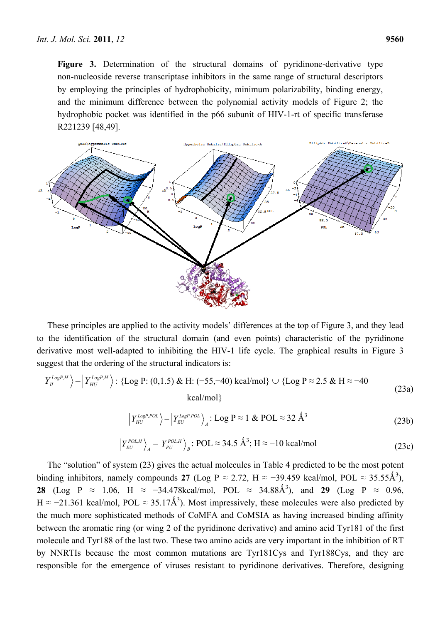**Figure 3.** Determination of the structural domains of pyridinone-derivative type non-nucleoside reverse transcriptase inhibitors in the same range of structural descriptors by employing the principles of hydrophobicity, minimum polarizability, binding energy, and the minimum difference between the polynomial activity models of Figure 2; the hydrophobic pocket was identified in the p66 subunit of HIV-1-rt of specific transferase R221239 [48,49].



These principles are applied to the activity models' differences at the top of Figure 3, and they lead to the identification of the structural domain (and even points) characteristic of the pyridinone derivative most well-adapted to inhibiting the HIV-1 life cycle. The graphical results in Figure 3 suggest that the ordering of the structural indicators is:

$$
\left| Y_{II}^{LogP,H} \right\rangle - \left| Y_{HU}^{LogP,H} \right\rangle : \left\{ \text{Log P: (0,1.5) & H: (-55, -40) & \text{kcal/mol} \right\} \cup \left\{ \text{Log P} \approx 2.5 & H \approx -40 \right\}
$$
\n
$$
\text{kcal/mol} \right\}
$$
\n
$$
\left| Y_{HU}^{LogP,POL} \right\rangle - \left| Y_{EU}^{LogP,POL} \right\rangle_A : \text{Log P} \approx 1 & \text{POL} \approx 32 & \text{\AA}^3
$$
\n(23b)

$$
\left| Y_{EU}^{POL,H} \right\rangle_A - \left| Y_{PU}^{POL,H} \right\rangle_B : POL \approx 34.5 \text{ Å}^3; H \approx -10 \text{ kcal/mol}
$$
\n(23c)

The "solution" of system (23) gives the actual molecules in Table 4 predicted to be the most potent binding inhibitors, namely compounds 27 (Log P  $\approx$  2.72, H  $\approx$  -39.459 kcal/mol, POL  $\approx$  35.55Å<sup>3</sup>), **28** (Log P ≈ 1.06, H ≈ -34.478kcal/mol, POL ≈ 34.88Å<sup>3</sup>), and **29** (Log P ≈ 0.96, H ≈ -21.361 kcal/mol, POL ≈ 35.17Å<sup>3</sup>). Most impressively, these molecules were also predicted by the much more sophisticated methods of CoMFA and CoMSIA as having increased binding affinity between the aromatic ring (or wing 2 of the pyridinone derivative) and amino acid Tyr181 of the first molecule and Tyr188 of the last two. These two amino acids are very important in the inhibition of RT by NNRTIs because the most common mutations are Tyr181Cys and Tyr188Cys, and they are responsible for the emergence of viruses resistant to pyridinone derivatives. Therefore, designing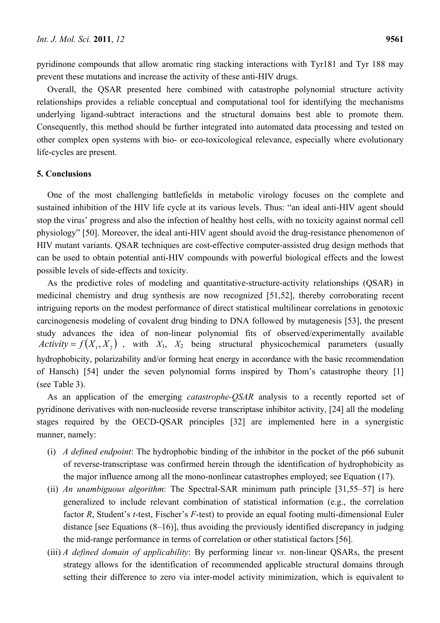pyridinone compounds that allow aromatic ring stacking interactions with Tyr181 and Tyr 188 may prevent these mutations and increase the activity of these anti-HIV drugs.

Overall, the QSAR presented here combined with catastrophe polynomial structure activity relationships provides a reliable conceptual and computational tool for identifying the mechanisms underlying ligand-subtract interactions and the structural domains best able to promote them. Consequently, this method should be further integrated into automated data processing and tested on other complex open systems with bio- or eco-toxicological relevance, especially where evolutionary life-cycles are present.

# **5. Conclusions**

One of the most challenging battlefields in metabolic virology focuses on the complete and sustained inhibition of the HIV life cycle at its various levels. Thus: "an ideal anti-HIV agent should stop the virus' progress and also the infection of healthy host cells, with no toxicity against normal cell physiology" [50]. Moreover, the ideal anti-HIV agent should avoid the drug-resistance phenomenon of HIV mutant variants. QSAR techniques are cost-effective computer-assisted drug design methods that can be used to obtain potential anti-HIV compounds with powerful biological effects and the lowest possible levels of side-effects and toxicity.

As the predictive roles of modeling and quantitative-structure-activity relationships (QSAR) in medicinal chemistry and drug synthesis are now recognized [51,52], thereby corroborating recent intriguing reports on the modest performance of direct statistical multilinear correlations in genotoxic carcinogenesis modeling of covalent drug binding to DNA followed by mutagenesis [53], the present study advances the idea of non-linear polynomial fits of observed/experimentally available  $Activity = f(X_1, X_2)$ , with  $X_1, X_2$  being structural physicochemical parameters (usually hydrophobicity, polarizability and/or forming heat energy in accordance with the basic recommendation of Hansch) [54] under the seven polynomial forms inspired by Thom's catastrophe theory [1] (see Table 3).

As an application of the emerging *catastrophe-QSAR* analysis to a recently reported set of pyridinone derivatives with non-nucleoside reverse transcriptase inhibitor activity, [24] all the modeling stages required by the OECD-QSAR principles [32] are implemented here in a synergistic manner, namely:

- (i) *A defined endpoint*: The hydrophobic binding of the inhibitor in the pocket of the p66 subunit of reverse-transcriptase was confirmed herein through the identification of hydrophobicity as the major influence among all the mono-nonlinear catastrophes employed; see Equation (17).
- (ii) *An unambiguous algorithm*: The Spectral-SAR minimum path principle [31,55–57] is here generalized to include relevant combination of statistical information (e.g., the correlation factor *R*, Student's *t*-test, Fischer's *F*-test) to provide an equal footing multi-dimensional Euler distance [see Equations (8–16)], thus avoiding the previously identified discrepancy in judging the mid-range performance in terms of correlation or other statistical factors [56].
- (iii) *A defined domain of applicability*: By performing linear *vs.* non-linear QSARs, the present strategy allows for the identification of recommended applicable structural domains through setting their difference to zero via inter-model activity minimization, which is equivalent to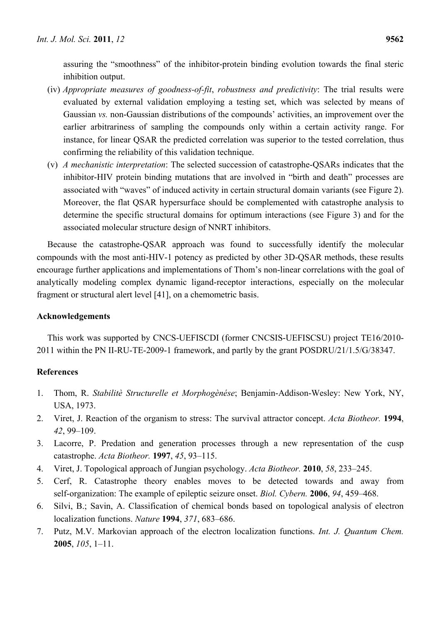assuring the "smoothness" of the inhibitor-protein binding evolution towards the final steric inhibition output.

- (iv) *Appropriate measures of goodness-of-fit*, *robustness and predictivity*: The trial results were evaluated by external validation employing a testing set, which was selected by means of Gaussian *vs.* non-Gaussian distributions of the compounds' activities, an improvement over the earlier arbitrariness of sampling the compounds only within a certain activity range. For instance, for linear QSAR the predicted correlation was superior to the tested correlation, thus confirming the reliability of this validation technique.
- (v) *A mechanistic interpretation*: The selected succession of catastrophe-QSARs indicates that the inhibitor-HIV protein binding mutations that are involved in "birth and death" processes are associated with "waves" of induced activity in certain structural domain variants (see Figure 2). Moreover, the flat QSAR hypersurface should be complemented with catastrophe analysis to determine the specific structural domains for optimum interactions (see Figure 3) and for the associated molecular structure design of NNRT inhibitors.

Because the catastrophe-QSAR approach was found to successfully identify the molecular compounds with the most anti-HIV-1 potency as predicted by other 3D-QSAR methods, these results encourage further applications and implementations of Thom's non-linear correlations with the goal of analytically modeling complex dynamic ligand-receptor interactions, especially on the molecular fragment or structural alert level [41], on a chemometric basis.

# **Acknowledgements**

This work was supported by CNCS-UEFISCDI (former CNCSIS-UEFISCSU) project TE16/2010- 2011 within the PN II-RU-TE-2009-1 framework, and partly by the grant POSDRU/21/1.5/G/38347.

# **References**

- 1. Thom, R. *Stabilitè Structurelle et Morphogènése*; Benjamin-Addison-Wesley: New York, NY, USA, 1973.
- 2. Viret, J. Reaction of the organism to stress: The survival attractor concept. *Acta Biotheor.* **1994**, *42*, 99–109.
- 3. Lacorre, P. Predation and generation processes through a new representation of the cusp catastrophe. *Acta Biotheor.* **1997**, *45*, 93–115.
- 4. Viret, J. Topological approach of Jungian psychology. *Acta Biotheor.* **2010**, *58*, 233–245.
- 5. Cerf, R. Catastrophe theory enables moves to be detected towards and away from self-organization: The example of epileptic seizure onset. *Biol. Cybern.* **2006**, *94*, 459–468.
- 6. Silvi, B.; Savin, A. Classification of chemical bonds based on topological analysis of electron localization functions. *Nature* **1994**, *371*, 683–686.
- 7. Putz, M.V. Markovian approach of the electron localization functions. *Int. J. Quantum Chem.*  **2005**, *105*, 1–11.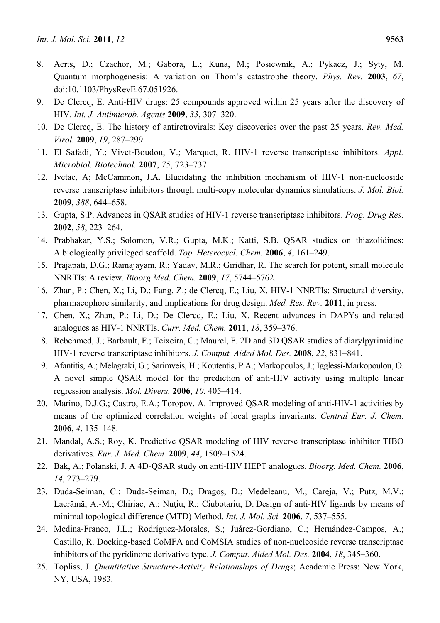- 8. Aerts, D.; Czachor, M.; Gabora, L.; Kuna, M.; Posiewnik, A.; Pykacz, J.; Syty, M. Quantum morphogenesis: A variation on Thom's catastrophe theory. *Phys. Rev.* **2003**, *67*, doi:10.1103/PhysRevE.67.051926.
- 9. De Clercq, E. Anti-HIV drugs: 25 compounds approved within 25 years after the discovery of HIV. *Int. J. Antimicrob. Agents* **2009**, *33*, 307–320.
- 10. De Clercq, E. The history of antiretrovirals: Key discoveries over the past 25 years. *Rev. Med. Virol.* **2009**, *19*, 287–299.
- 11. El Safadi, Y.; Vivet-Boudou, V.; Marquet, R. HIV-1 reverse transcriptase inhibitors. *Appl. Microbiol. Biotechnol.* **2007**, *75*, 723–737.
- 12. Ivetac, A; McCammon, J.A. Elucidating the inhibition mechanism of HIV-1 non-nucleoside reverse transcriptase inhibitors through multi-copy molecular dynamics simulations. *J. Mol. Biol.*  **2009**, *388*, 644–658.
- 13. Gupta, S.P. Advances in QSAR studies of HIV-1 reverse transcriptase inhibitors. *Prog. Drug Res.* **2002**, *58*, 223–264.
- 14. Prabhakar, Y.S.; Solomon, V.R.; Gupta, M.K.; Katti, S.B. QSAR studies on thiazolidines: A biologically privileged scaffold. *Top. Heterocycl. Chem.* **2006**, *4*, 161–249.
- 15. Prajapati, D.G.; Ramajayam, R.; Yadav, M.R.; Giridhar, R. The search for potent, small molecule NNRTIs: A review. *Bioorg Med. Chem.* **2009**, *17*, 5744–5762.
- 16. Zhan, P.; Chen, X.; Li, D.; Fang, Z.; de Clercq, E.; Liu, X. HIV-1 NNRTIs: Structural diversity, pharmacophore similarity, and implications for drug design. *Med. Res. Rev.* **2011**, in press.
- 17. Chen, X.; Zhan, P.; Li, D.; De Clercq, E.; Liu, X. Recent advances in DAPYs and related analogues as HIV-1 NNRTIs. *Curr. Med. Chem.* **2011**, *18*, 359–376.
- 18. Rebehmed, J.; Barbault, F.; Teixeira, C.; Maurel, F. 2D and 3D QSAR studies of diarylpyrimidine HIV-1 reverse transcriptase inhibitors. *J. Comput. Aided Mol. Des.* **2008**, *22*, 831–841.
- 19. Afantitis, A.; Melagraki, G.; Sarimveis, H.; Koutentis, P.A.; Markopoulos, J.; Igglessi-Markopoulou, O. A novel simple QSAR model for the prediction of anti-HIV activity using multiple linear regression analysis. *Mol. Divers.* **2006**, *10*, 405–414.
- 20. Marino, D.J.G.; Castro, E.A.; Toropov, A. Improved QSAR modeling of anti-HIV-1 activities by means of the optimized correlation weights of local graphs invariants. *Central Eur. J. Chem.* **2006**, *4*, 135–148.
- 21. Mandal, A.S.; Roy, K. Predictive QSAR modeling of HIV reverse transcriptase inhibitor TIBO derivatives. *Eur. J. Med. Chem.* **2009**, *44*, 1509–1524.
- 22. Bak, A.; Polanski, J. A 4D-QSAR study on anti-HIV HEPT analogues. *Bioorg. Med. Chem.* **2006**, *14*, 273–279.
- 23. Duda-Seiman, C.; Duda-Seiman, D.; Dragoş, D.; Medeleanu, M.; Careja, V.; Putz, M.V.; Lacrămă, A.-M.; Chiriac, A.; Nuțiu, R.; Ciubotariu, D. Design of anti-HIV ligands by means of minimal topological difference (MTD) Method. *Int. J. Mol. Sci.* **2006**, *7*, 537–555.
- 24. Medina-Franco, J.L.; Rodríguez-Morales, S.; Juárez-Gordiano, C.; Hernández-Campos, A.; Castillo, R. Docking-based CoMFA and CoMSIA studies of non-nucleoside reverse transcriptase inhibitors of the pyridinone derivative type. *J. Comput. Aided Mol. Des.* **2004**, *18*, 345–360.
- 25. Topliss, J. *Quantitative Structure-Activity Relationships of Drugs*; Academic Press: New York, NY, USA, 1983.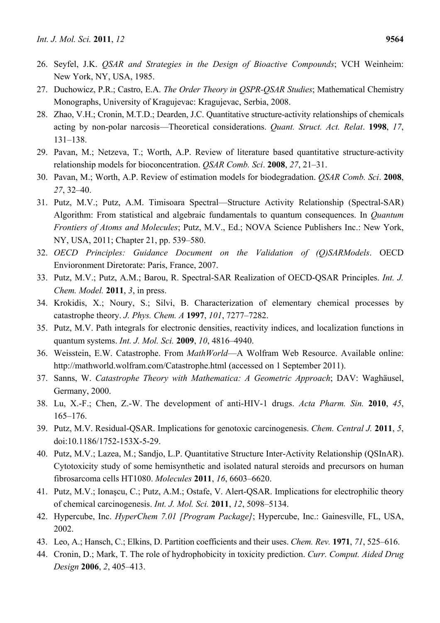- 26. Seyfel, J.K. *QSAR and Strategies in the Design of Bioactive Compounds*; VCH Weinheim: New York, NY, USA, 1985.
- 27. Duchowicz, P.R.; Castro, E.A. *The Order Theory in QSPR-QSAR Studies*; Mathematical Chemistry Monographs, University of Kragujevac: Kragujevac, Serbia, 2008.
- 28. Zhao, V.H.; Cronin, M.T.D.; Dearden, J.C. Quantitative structure-activity relationships of chemicals acting by non-polar narcosis—Theoretical considerations. *Quant. Struct. Act. Relat*. **1998**, *17*, 131–138.
- 29. Pavan, M.; Netzeva, T.; Worth, A.P. Review of literature based quantitative structure-activity relationship models for bioconcentration. *QSAR Comb. Sci*. **2008**, *27*, 21–31.
- 30. Pavan, M.; Worth, A.P. Review of estimation models for biodegradation. *QSAR Comb. Sci*. **2008**, *27*, 32–40.
- 31. Putz, M.V.; Putz, A.M. Timisoara Spectral—Structure Activity Relationship (Spectral-SAR) Algorithm: From statistical and algebraic fundamentals to quantum consequences. In *Quantum Frontiers of Atoms and Molecules*; Putz, M.V., Ed.; NOVA Science Publishers Inc.: New York, NY, USA, 2011; Chapter 21, pp. 539–580.
- 32. *OECD Principles: Guidance Document on the Validation of (Q)SARModels*. OECD Envioronment Diretorate: Paris, France, 2007.
- 33. Putz, M.V.; Putz, A.M.; Barou, R. Spectral-SAR Realization of OECD-QSAR Principles. *Int. J. Chem. Model.* **2011**, *3*, in press.
- 34. Krokidis, X.; Noury, S.; Silvi, B. Characterization of elementary chemical processes by catastrophe theory. *J. Phys. Chem. A* **1997**, *101*, 7277–7282.
- 35. Putz, M.V. Path integrals for electronic densities, reactivity indices, and localization functions in quantum systems. *Int. J. Mol. Sci.* **2009**, *10*, 4816–4940.
- 36. Weisstein, E.W. Catastrophe. From *MathWorld*—A Wolfram Web Resource. Available online: http://mathworld.wolfram.com/Catastrophe.html (accessed on 1 September 2011).
- 37. Sanns, W. *Catastrophe Theory with Mathematica: A Geometric Approach*; DAV: Waghäusel, Germany, 2000.
- 38. Lu, X.-F.; Chen, Z.-W. The development of anti-HIV-1 drugs. *Acta Pharm. Sin.* **2010**, *45*, 165–176.
- 39. Putz, M.V. Residual-QSAR. Implications for genotoxic carcinogenesis. *Chem. Central J.* **2011**, *5*, doi:10.1186/1752-153X-5-29.
- 40. Putz, M.V.; Lazea, M.; Sandjo, L.P. Quantitative Structure Inter-Activity Relationship (QSInAR). Cytotoxicity study of some hemisynthetic and isolated natural steroids and precursors on human fibrosarcoma cells HT1080. *Molecules* **2011**, *16*, 6603–6620.
- 41. Putz, M.V.; Ionaşcu, C.; Putz, A.M.; Ostafe, V. Alert-QSAR. Implications for electrophilic theory of chemical carcinogenesis. *Int. J. Mol. Sci.* **2011**, *12*, 5098–5134.
- 42. Hypercube, Inc. *HyperChem 7.01 [Program Package]*; Hypercube, Inc.: Gainesville, FL, USA, 2002.
- 43. Leo, A.; Hansch, C.; Elkins, D. Partition coefficients and their uses. *Chem. Rev.* **1971**, *71*, 525–616.
- 44. Cronin, D.; Mark, T. The role of hydrophobicity in toxicity prediction. *Curr. Comput. Aided Drug Design* **2006**, *2*, 405–413.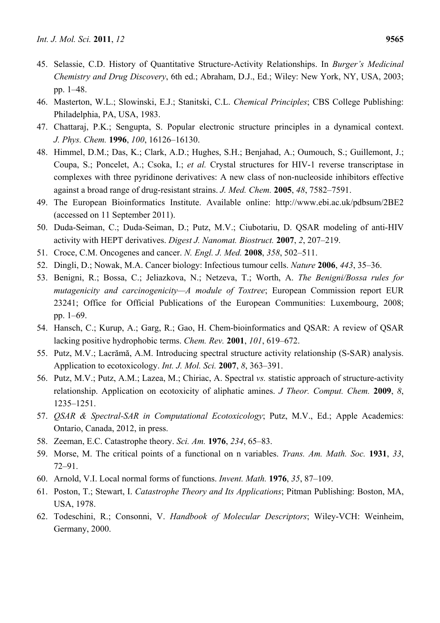- 45. Selassie, C.D. History of Quantitative Structure-Activity Relationships. In *Burger's Medicinal Chemistry and Drug Discovery*, 6th ed.; Abraham, D.J., Ed.; Wiley: New York, NY, USA, 2003; pp. 1–48.
- 46. Masterton, W.L.; Slowinski, E.J.; Stanitski, C.L. *Chemical Principles*; CBS College Publishing: Philadelphia, PA, USA, 1983.
- 47. Chattaraj, P.K.; Sengupta, S. Popular electronic structure principles in a dynamical context. *J. Phys. Chem.* **1996**, *100*, 16126–16130.
- 48. Himmel, D.M.; Das, K.; Clark, A.D.; Hughes, S.H.; Benjahad, A.; Oumouch, S.; Guillemont, J.; Coupa, S.; Poncelet, A.; Csoka, I.; *et al.* Crystal structures for HIV-1 reverse transcriptase in complexes with three pyridinone derivatives: A new class of non-nucleoside inhibitors effective against a broad range of drug-resistant strains. *J. Med. Chem.* **2005**, *48*, 7582–7591.
- 49. The European Bioinformatics Institute. Available online: http://www.ebi.ac.uk/pdbsum/2BE2 (accessed on 11 September 2011).
- 50. Duda-Seiman, C.; Duda-Seiman, D.; Putz, M.V.; Ciubotariu, D. QSAR modeling of anti-HIV activity with HEPT derivatives. *Digest J. Nanomat. Biostruct.* **2007**, *2*, 207–219.
- 51. Croce, C.M. Oncogenes and cancer. *N. Engl. J. Med.* **2008**, *358*, 502–511.
- 52. Dingli, D.; Nowak, M.A. Cancer biology: Infectious tumour cells. *Nature* **2006**, *443*, 35–36.
- 53. Benigni, R.; Bossa, C.; Jeliazkova, N.; Netzeva, T.; Worth, A. *The Benigni/Bossa rules for mutagenicity and carcinogenicity—A module of Toxtree*; European Commission report EUR 23241; Office for Official Publications of the European Communities: Luxembourg, 2008; pp. 1–69.
- 54. Hansch, C.; Kurup, A.; Garg, R.; Gao, H. Chem-bioinformatics and QSAR: A review of QSAR lacking positive hydrophobic terms. *Chem. Rev.* **2001**, *101*, 619–672.
- 55. Putz, M.V.; Lacrămă, A.M. Introducing spectral structure activity relationship (S-SAR) analysis. Application to ecotoxicology. *Int. J. Mol. Sci.* **2007**, *8*, 363–391.
- 56. Putz, M.V.; Putz, A.M.; Lazea, M.; Chiriac, A. Spectral *vs.* statistic approach of structure-activity relationship. Application on ecotoxicity of aliphatic amines. *J Theor. Comput. Chem.* **2009**, *8*, 1235–1251.
- 57. *QSAR & Spectral-SAR in Computational Ecotoxicology*; Putz, M.V., Ed.; Apple Academics: Ontario, Canada, 2012, in press.
- 58. Zeeman, E.C. Catastrophe theory. *Sci. Am.* **1976**, *234*, 65–83.
- 59. Morse, M. The critical points of a functional on n variables. *Trans. Am. Math. Soc.* **1931**, *33*, 72–91.
- 60. Arnold, V.I. Local normal forms of functions. *Invent. Math.* **1976**, *35*, 87–109.
- 61. Poston, T.; Stewart, I. *Catastrophe Theory and Its Applications*; Pitman Publishing: Boston, MA, USA, 1978.
- 62. Todeschini, R.; Consonni, V. *Handbook of Molecular Descriptors*; Wiley-VCH: Weinheim, Germany, 2000.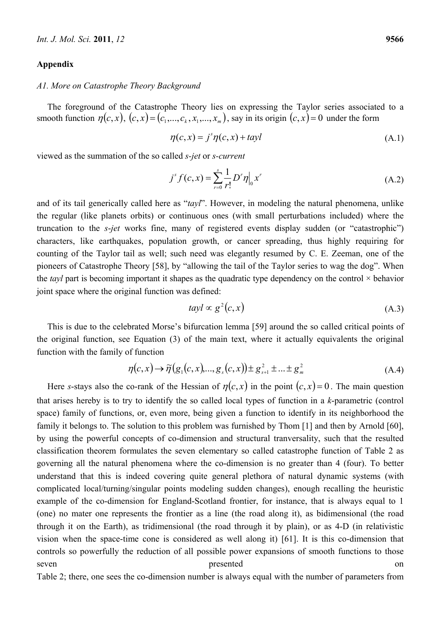### **Appendix**

## *A1. More on Catastrophe Theory Background*

The foreground of the Catastrophe Theory lies on expressing the Taylor series associated to a smooth function  $\eta(c, x)$ ,  $(c, x) = (c_1, \ldots, c_k, x_1, \ldots, x_m)$ , say in its origin  $(c, x) = 0$  under the form

$$
\eta(c, x) = j^{s} \eta(c, x) + tayl \tag{A.1}
$$

viewed as the summation of the so called *s-jet* or *s-current*

$$
j^{s} f(c, x) = \sum_{r=0}^{s} \frac{1}{r!} D^{r} \eta \Big|_{0} x^{r}
$$
 (A.2)

and of its tail generically called here as "*tayl*". However, in modeling the natural phenomena, unlike the regular (like planets orbits) or continuous ones (with small perturbations included) where the truncation to the *s*-*jet* works fine, many of registered events display sudden (or "catastrophic") characters, like earthquakes, population growth, or cancer spreading, thus highly requiring for counting of the Taylor tail as well; such need was elegantly resumed by C. E. Zeeman, one of the pioneers of Catastrophe Theory [58], by "allowing the tail of the Taylor series to wag the dog". When the *tayl* part is becoming important it shapes as the quadratic type dependency on the control  $\times$  behavior joint space where the original function was defined:

$$
tayl \propto g^2(c,x) \tag{A.3}
$$

This is due to the celebrated Morse's bifurcation lemma [59] around the so called critical points of the original function, see Equation (3) of the main text, where it actually equivalents the original function with the family of function

$$
\eta(c,x) \to \widetilde{\eta}(g_1(c,x),...,g_s(c,x)) \pm g_{s+1}^2 \pm ... \pm g_m^2
$$
\n(A.4)

Here *s*-stays also the co-rank of the Hessian of  $\eta(c, x)$  in the point  $(c, x) = 0$ . The main question that arises hereby is to try to identify the so called local types of function in a *k*-parametric (control space) family of functions, or, even more, being given a function to identify in its neighborhood the family it belongs to. The solution to this problem was furnished by Thom [1] and then by Arnold [60], by using the powerful concepts of co-dimension and structural tranversality, such that the resulted classification theorem formulates the seven elementary so called catastrophe function of Table 2 as governing all the natural phenomena where the co-dimension is no greater than 4 (four). To better understand that this is indeed covering quite general plethora of natural dynamic systems (with complicated local/turning/singular points modeling sudden changes), enough recalling the heuristic example of the co-dimension for England-Scotland frontier, for instance, that is always equal to 1 (one) no mater one represents the frontier as a line (the road along it), as bidimensional (the road through it on the Earth), as tridimensional (the road through it by plain), or as 4-D (in relativistic vision when the space-time cone is considered as well along it) [61]. It is this co-dimension that controls so powerfully the reduction of all possible power expansions of smooth functions to those seven **presented** on

Table 2; there, one sees the co-dimension number is always equal with the number of parameters from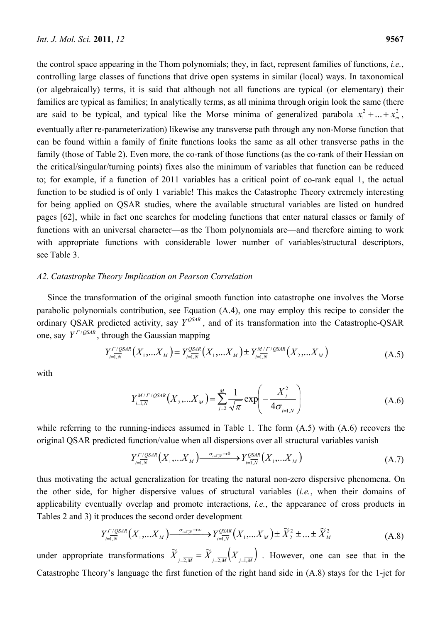the control space appearing in the Thom polynomials; they, in fact, represent families of functions, *i.e.*, controlling large classes of functions that drive open systems in similar (local) ways. In taxonomical (or algebraically) terms, it is said that although not all functions are typical (or elementary) their families are typical as families; In analytically terms, as all minima through origin look the same (there are said to be typical, and typical like the Morse minima of generalized parabola  $x_1^2 + ... + x_m^2$ , eventually after re-parameterization) likewise any transverse path through any non-Morse function that can be found within a family of finite functions looks the same as all other transverse paths in the family (those of Table 2). Even more, the co-rank of those functions (as the co-rank of their Hessian on the critical/singular/turning points) fixes also the minimum of variables that function can be reduced to; for example, if a function of 2011 variables has a critical point of co-rank equal 1, the actual function to be studied is of only 1 variable! This makes the Catastrophe Theory extremely interesting for being applied on QSAR studies, where the available structural variables are listed on hundred pages [62], while in fact one searches for modeling functions that enter natural classes or family of functions with an universal character—as the Thom polynomials are—and therefore aiming to work with appropriate functions with considerable lower number of variables/structural descriptors, see Table 3.

# *A2. Catastrophe Theory Implication on Pearson Correlation*

Since the transformation of the original smooth function into catastrophe one involves the Morse parabolic polynomials contribution, see Equation (A.4), one may employ this recipe to consider the ordinary QSAR predicted activity, say  $Y^{QSAR}$ , and of its transformation into the Catastrophe-QSAR one, say  $Y^{Y/QSAR}$ , through the Gaussian mapping

$$
Y_{i=\overline{1,N}}^{\Gamma/\mathcal{Q}SAR}(X_1,...X_M) = Y_{i=\overline{1,N}}^{\mathcal{Q}SAR}(X_1,...X_M) \pm Y_{i=\overline{1,N}}^{M/\Gamma/\mathcal{Q}SAR}(X_2,...X_M)
$$
(A.5)

with

$$
Y_{i=\overline{1,N}}^{M/F/QSAR}(X_2,...X_M) = \sum_{j=2}^{M} \frac{1}{\sqrt{\pi}} \exp\left(-\frac{X_j^2}{4\sigma_{i=\overline{1,N}}}\right)
$$
(A.6)

while referring to the running-indices assumed in Table 1. The form  $(A.5)$  with  $(A.6)$  recovers the original QSAR predicted function/value when all dispersions over all structural variables vanish

$$
Y_{i=\overline{1,N}}^{\Gamma/\mathcal{Q}SAR}(X_1,...X_M)\xrightarrow{\sigma_{i=\overline{1,N}}\to 0} Y_{i=\overline{1,N}}^{\mathcal{Q}SAR}(X_1,...X_M)
$$
(A.7)

thus motivating the actual generalization for treating the natural non-zero dispersive phenomena. On the other side, for higher dispersive values of structural variables (*i.e.*, when their domains of applicability eventually overlap and promote interactions, *i.e.*, the appearance of cross products in Tables 2 and 3) it produces the second order development

$$
Y_{i=\overline{1,N}}^{\Gamma/\mathcal{Q}SAR}(X_1,\ldots,X_M) \xrightarrow{\sigma_{i=\overline{1,N}} \to \infty} Y_{i=\overline{1,N}}^{\mathcal{Q}SAR}(X_1,\ldots,X_M) \pm \widetilde{X}_2^2 \pm \ldots \pm \widetilde{X}_M^2
$$
(A.8)

under appropriate transformations  $\widetilde{X}_{j=2,M} = \widetilde{X}_{j=2,M} \left( X_{j=1,M} \right)$ . However, one can see that in the Catastrophe Theory's language the first function of the right hand side in (A.8) stays for the 1-jet for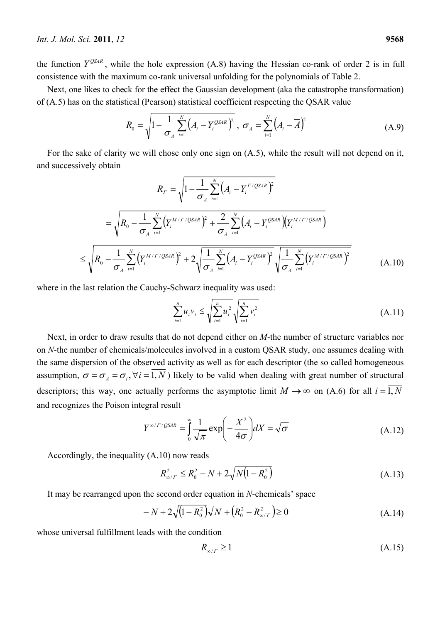the function  $Y^{QSAR}$ , while the hole expression (A.8) having the Hessian co-rank of order 2 is in full consistence with the maximum co-rank universal unfolding for the polynomials of Table 2.

Next, one likes to check for the effect the Gaussian development (aka the catastrophe transformation) of (A.5) has on the statistical (Pearson) statistical coefficient respecting the QSAR value

$$
R_0 = \sqrt{1 - \frac{1}{\sigma_A} \sum_{i=1}^{N} (A_i - Y_i^{OSAR})^2}, \ \sigma_A = \sum_{i=1}^{N} (A_i - \overline{A})^2
$$
 (A.9)

For the sake of clarity we will chose only one sign on (A.5), while the result will not depend on it, and successively obtain

$$
R_{\Gamma} = \sqrt{1 - \frac{1}{\sigma_A} \sum_{i=1}^{N} \left( A_i - Y_i^{\Gamma/\mathcal{QSAR}} \right)^2}
$$
  
=  $\sqrt{R_0 - \frac{1}{\sigma_A} \sum_{i=1}^{N} \left( Y_i^{\frac{M}{\Gamma/\mathcal{QSAR}}} \right)^2 + \frac{2}{\sigma_A} \sum_{i=1}^{N} \left( A_i - Y_i^{\mathcal{QSAR}} \right) \left( Y_i^{\frac{M}{\Gamma/\mathcal{QSAR}}} \right)^2}$   

$$
\leq \sqrt{R_0 - \frac{1}{\sigma_A} \sum_{i=1}^{N} \left( Y_i^{\frac{M}{\Gamma/\mathcal{QSAR}}} \right)^2 + 2 \sqrt{\frac{1}{\sigma_A} \sum_{i=1}^{N} \left( A_i - Y_i^{\frac{\mathcal{QSAR}}{\mathcal{QSAR}}} \right)^2} \sqrt{\frac{1}{\sigma_A} \sum_{i=1}^{N} \left( Y_i^{\frac{M}{\Gamma/\mathcal{QSAR}}} \right)^2}
$$
(A.10)

where in the last relation the Cauchy-Schwarz inequality was used:

$$
\sum_{i=1}^{n} u_i v_i \le \sqrt{\sum_{i=1}^{n} u_i^2} \sqrt{\sum_{i=1}^{n} v_i^2}
$$
 (A.11)

Next, in order to draw results that do not depend either on *M*-the number of structure variables nor on *N*-the number of chemicals/molecules involved in a custom QSAR study, one assumes dealing with the same dispersion of the observed activity as well as for each descriptor (the so called homogeneous assumption,  $\sigma = \sigma_A = \sigma_i$ ,  $\forall i = \overline{1, N}$ ) likely to be valid when dealing with great number of structural descriptors; this way, one actually performs the asymptotic limit  $M \to \infty$  on (A.6) for all  $i = \overline{1, N}$ and recognizes the Poison integral result

$$
Y^{\infty/\Gamma/\text{QSAR}} = \int_{0}^{\infty} \frac{1}{\sqrt{\pi}} \exp\left(-\frac{X^2}{4\sigma}\right) dX = \sqrt{\sigma}
$$
 (A.12)

Accordingly, the inequality (A.10) now reads

$$
R_{\infty/\Gamma}^2 \le R_0^2 - N + 2\sqrt{N(1 - R_0^2)}\tag{A.13}
$$

It may be rearranged upon the second order equation in *N*-chemicals' space

$$
-N + 2\sqrt{(1 - R_0^2)}\sqrt{N} + (R_0^2 - R_{\infty/\Gamma}^2) \ge 0
$$
 (A.14)

whose universal fulfillment leads with the condition

$$
R_{\infty/\Gamma} \ge 1\tag{A.15}
$$